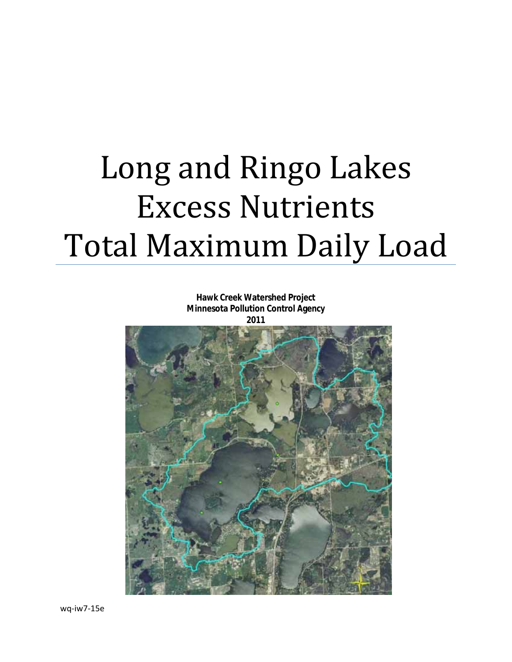# Long and Ringo Lakes Excess Nutrients Total Maximum Daily Load

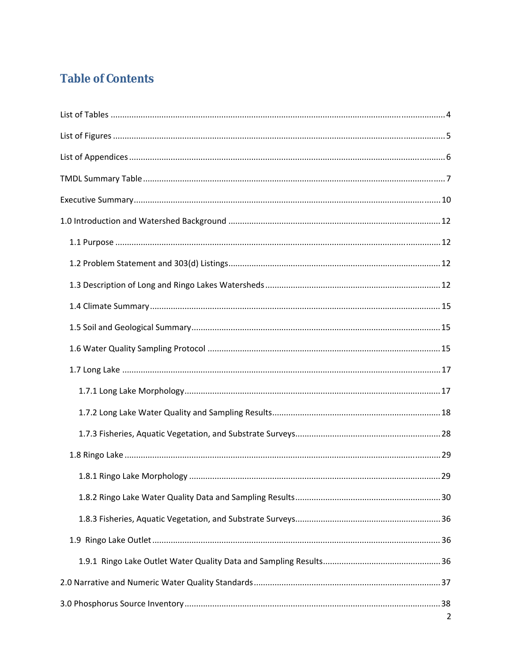# **Table of Contents**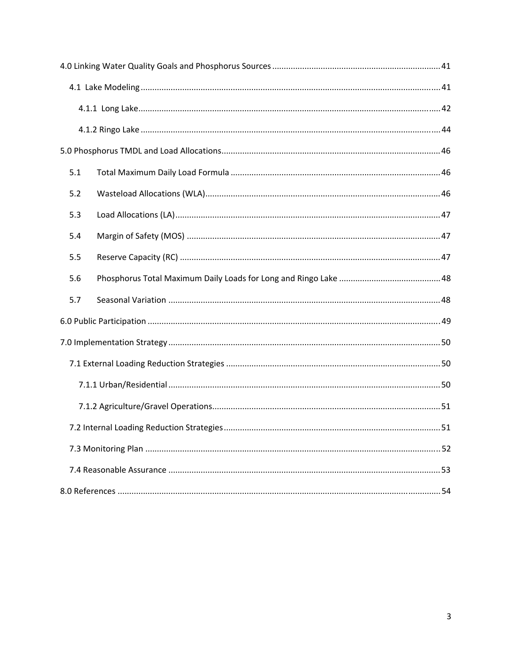| 5.1 |  |
|-----|--|
| 5.2 |  |
| 5.3 |  |
| 5.4 |  |
| 5.5 |  |
| 5.6 |  |
| 5.7 |  |
|     |  |
|     |  |
|     |  |
|     |  |
|     |  |
|     |  |
|     |  |
|     |  |
|     |  |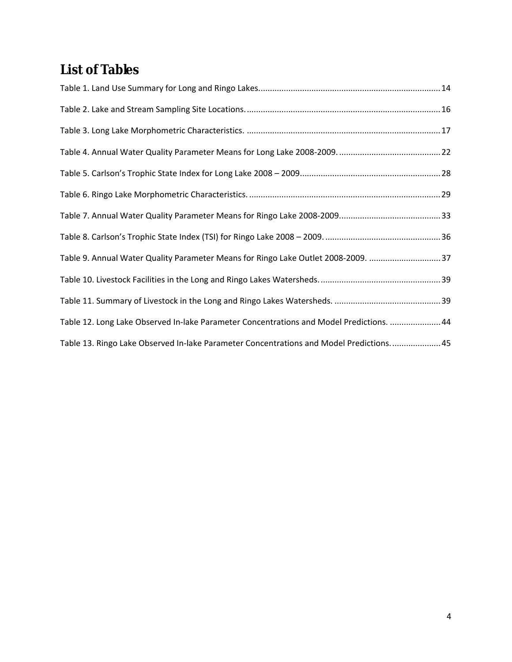# <span id="page-3-0"></span>**List of Tables**

| Table 9. Annual Water Quality Parameter Means for Ringo Lake Outlet 2008-2009. 37        |  |
|------------------------------------------------------------------------------------------|--|
|                                                                                          |  |
|                                                                                          |  |
| Table 12. Long Lake Observed In-lake Parameter Concentrations and Model Predictions.  44 |  |
| Table 13. Ringo Lake Observed In-lake Parameter Concentrations and Model Predictions 45  |  |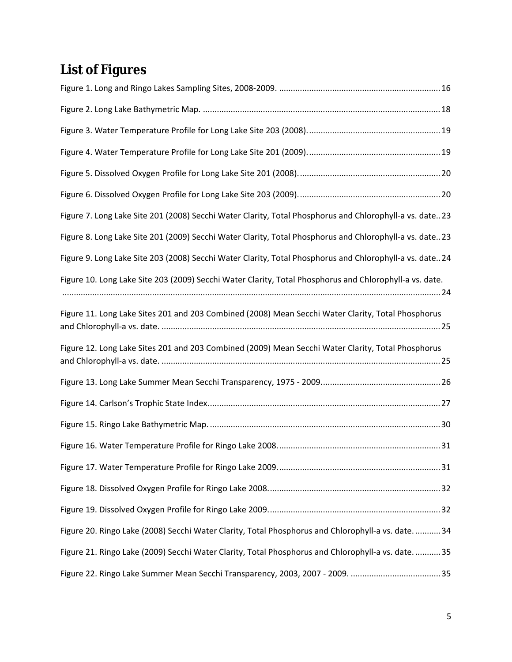# <span id="page-4-0"></span>**List of Figures**

| Figure 7. Long Lake Site 201 (2008) Secchi Water Clarity, Total Phosphorus and Chlorophyll-a vs. date 23 |
|----------------------------------------------------------------------------------------------------------|
| Figure 8. Long Lake Site 201 (2009) Secchi Water Clarity, Total Phosphorus and Chlorophyll-a vs. date 23 |
| Figure 9. Long Lake Site 203 (2008) Secchi Water Clarity, Total Phosphorus and Chlorophyll-a vs. date 24 |
| Figure 10. Long Lake Site 203 (2009) Secchi Water Clarity, Total Phosphorus and Chlorophyll-a vs. date.  |
| Figure 11. Long Lake Sites 201 and 203 Combined (2008) Mean Secchi Water Clarity, Total Phosphorus       |
| Figure 12. Long Lake Sites 201 and 203 Combined (2009) Mean Secchi Water Clarity, Total Phosphorus       |
|                                                                                                          |
|                                                                                                          |
|                                                                                                          |
|                                                                                                          |
|                                                                                                          |
|                                                                                                          |
|                                                                                                          |
| Figure 20. Ringo Lake (2008) Secchi Water Clarity, Total Phosphorus and Chlorophyll-a vs. date.  34      |
| Figure 21. Ringo Lake (2009) Secchi Water Clarity, Total Phosphorus and Chlorophyll-a vs. date.  35      |
|                                                                                                          |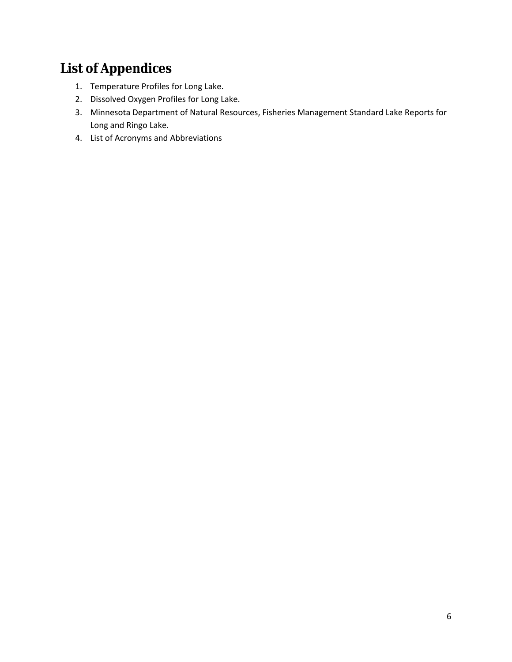# <span id="page-5-0"></span>**List of Appendices**

- 1. Temperature Profiles for Long Lake.
- 2. Dissolved Oxygen Profiles for Long Lake.
- 3. Minnesota Department of Natural Resources, Fisheries Management Standard Lake Reports for Long and Ringo Lake.
- 4. List of Acronyms and Abbreviations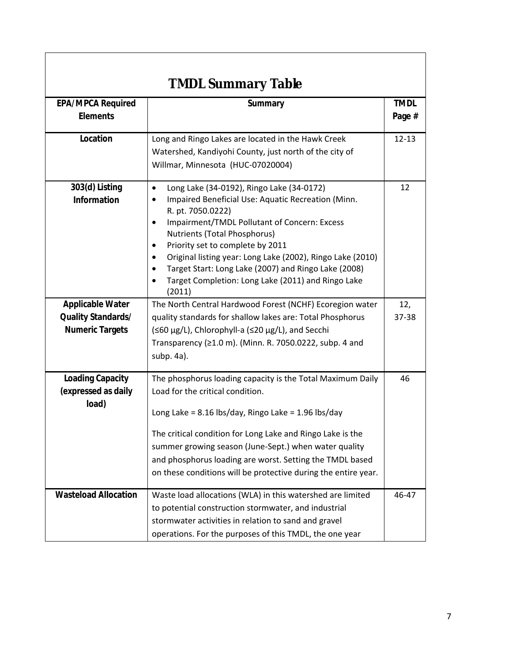<span id="page-6-0"></span>

| <b>TMDL Summary Table</b>                               |                                                                                                                                                                                                                                                                                                                                                                                                                                                                                         |                       |  |  |
|---------------------------------------------------------|-----------------------------------------------------------------------------------------------------------------------------------------------------------------------------------------------------------------------------------------------------------------------------------------------------------------------------------------------------------------------------------------------------------------------------------------------------------------------------------------|-----------------------|--|--|
| <b>EPA/MPCA Required</b><br><b>Elements</b>             | Summary                                                                                                                                                                                                                                                                                                                                                                                                                                                                                 | <b>TMDL</b><br>Page # |  |  |
| Location                                                | Long and Ringo Lakes are located in the Hawk Creek<br>Watershed, Kandiyohi County, just north of the city of<br>Willmar, Minnesota (HUC-07020004)                                                                                                                                                                                                                                                                                                                                       | $12 - 13$             |  |  |
| 303(d) Listing<br>Information                           | Long Lake (34-0192), Ringo Lake (34-0172)<br>$\bullet$<br>Impaired Beneficial Use: Aquatic Recreation (Minn.<br>٠<br>R. pt. 7050.0222)<br>Impairment/TMDL Pollutant of Concern: Excess<br>$\bullet$<br>Nutrients (Total Phosphorus)<br>Priority set to complete by 2011<br>$\bullet$<br>Original listing year: Long Lake (2002), Ringo Lake (2010)<br>$\bullet$<br>Target Start: Long Lake (2007) and Ringo Lake (2008)<br>Target Completion: Long Lake (2011) and Ringo Lake<br>(2011) |                       |  |  |
| <b>Applicable Water</b>                                 | The North Central Hardwood Forest (NCHF) Ecoregion water                                                                                                                                                                                                                                                                                                                                                                                                                                | 12,                   |  |  |
| <b>Quality Standards/</b>                               | quality standards for shallow lakes are: Total Phosphorus                                                                                                                                                                                                                                                                                                                                                                                                                               | 37-38                 |  |  |
| <b>Numeric Targets</b>                                  | (≤60 µg/L), Chlorophyll-a (≤20 µg/L), and Secchi<br>Transparency ( $\geq 1.0$ m). (Minn. R. 7050.0222, subp. 4 and<br>subp. 4a).                                                                                                                                                                                                                                                                                                                                                        |                       |  |  |
| <b>Loading Capacity</b><br>(expressed as daily<br>load) | The phosphorus loading capacity is the Total Maximum Daily<br>Load for the critical condition.                                                                                                                                                                                                                                                                                                                                                                                          |                       |  |  |
|                                                         | Long Lake = $8.16$ lbs/day, Ringo Lake = $1.96$ lbs/day<br>The critical condition for Long Lake and Ringo Lake is the                                                                                                                                                                                                                                                                                                                                                                   |                       |  |  |
|                                                         | summer growing season (June-Sept.) when water quality<br>and phosphorus loading are worst. Setting the TMDL based<br>on these conditions will be protective during the entire year.                                                                                                                                                                                                                                                                                                     |                       |  |  |
| <b>Wasteload Allocation</b>                             | Waste load allocations (WLA) in this watershed are limited<br>to potential construction stormwater, and industrial<br>stormwater activities in relation to sand and gravel<br>operations. For the purposes of this TMDL, the one year                                                                                                                                                                                                                                                   | 46-47                 |  |  |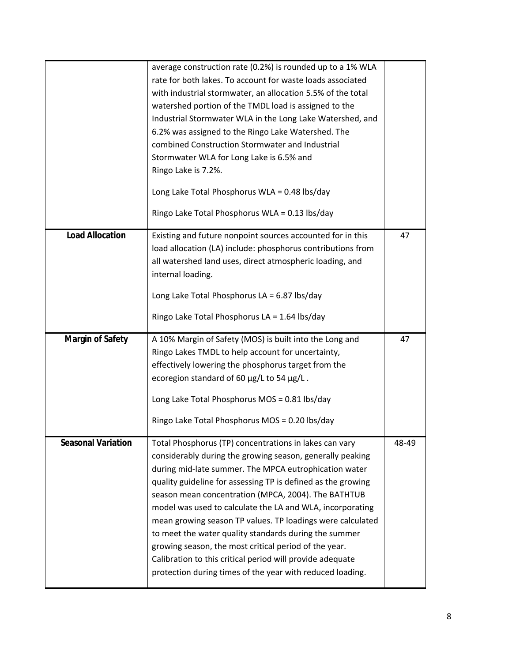|                           | average construction rate (0.2%) is rounded up to a 1% WLA                                                             |       |
|---------------------------|------------------------------------------------------------------------------------------------------------------------|-------|
|                           | rate for both lakes. To account for waste loads associated                                                             |       |
|                           | with industrial stormwater, an allocation 5.5% of the total                                                            |       |
|                           | watershed portion of the TMDL load is assigned to the                                                                  |       |
|                           | Industrial Stormwater WLA in the Long Lake Watershed, and                                                              |       |
|                           | 6.2% was assigned to the Ringo Lake Watershed. The                                                                     |       |
|                           | combined Construction Stormwater and Industrial                                                                        |       |
|                           | Stormwater WLA for Long Lake is 6.5% and                                                                               |       |
|                           | Ringo Lake is 7.2%.                                                                                                    |       |
|                           | Long Lake Total Phosphorus WLA = 0.48 lbs/day                                                                          |       |
|                           | Ringo Lake Total Phosphorus WLA = 0.13 lbs/day                                                                         |       |
| <b>Load Allocation</b>    | Existing and future nonpoint sources accounted for in this                                                             | 47    |
|                           | load allocation (LA) include: phosphorus contributions from                                                            |       |
|                           | all watershed land uses, direct atmospheric loading, and                                                               |       |
|                           | internal loading.                                                                                                      |       |
|                           |                                                                                                                        |       |
|                           | Long Lake Total Phosphorus LA = $6.87$ lbs/day                                                                         |       |
|                           | Ringo Lake Total Phosphorus LA = 1.64 lbs/day                                                                          |       |
|                           |                                                                                                                        |       |
| <b>Margin of Safety</b>   | A 10% Margin of Safety (MOS) is built into the Long and                                                                | 47    |
|                           | Ringo Lakes TMDL to help account for uncertainty,                                                                      |       |
|                           | effectively lowering the phosphorus target from the                                                                    |       |
|                           | ecoregion standard of 60 µg/L to 54 µg/L.                                                                              |       |
|                           | Long Lake Total Phosphorus MOS = 0.81 lbs/day                                                                          |       |
|                           | Ringo Lake Total Phosphorus MOS = 0.20 lbs/day                                                                         |       |
| <b>Seasonal Variation</b> |                                                                                                                        |       |
|                           | Total Phosphorus (TP) concentrations in lakes can vary                                                                 | 48-49 |
|                           | considerably during the growing season, generally peaking                                                              |       |
|                           | during mid-late summer. The MPCA eutrophication water                                                                  |       |
|                           | quality guideline for assessing TP is defined as the growing                                                           |       |
|                           | season mean concentration (MPCA, 2004). The BATHTUB                                                                    |       |
|                           | model was used to calculate the LA and WLA, incorporating                                                              |       |
|                           | mean growing season TP values. TP loadings were calculated                                                             |       |
|                           | to meet the water quality standards during the summer                                                                  |       |
|                           | growing season, the most critical period of the year.                                                                  |       |
|                           | Calibration to this critical period will provide adequate<br>protection during times of the year with reduced loading. |       |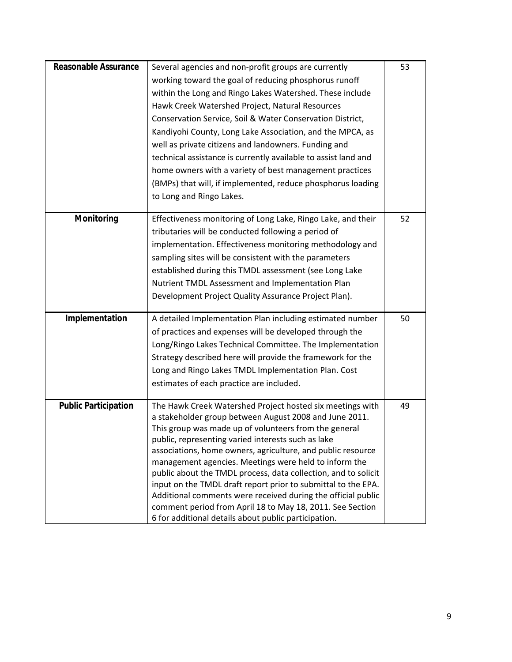| <b>Reasonable Assurance</b> | Several agencies and non-profit groups are currently                                                              | 53 |
|-----------------------------|-------------------------------------------------------------------------------------------------------------------|----|
|                             | working toward the goal of reducing phosphorus runoff                                                             |    |
|                             | within the Long and Ringo Lakes Watershed. These include                                                          |    |
|                             | Hawk Creek Watershed Project, Natural Resources                                                                   |    |
|                             | Conservation Service, Soil & Water Conservation District,                                                         |    |
|                             | Kandiyohi County, Long Lake Association, and the MPCA, as                                                         |    |
|                             | well as private citizens and landowners. Funding and                                                              |    |
|                             | technical assistance is currently available to assist land and                                                    |    |
|                             | home owners with a variety of best management practices                                                           |    |
|                             | (BMPs) that will, if implemented, reduce phosphorus loading                                                       |    |
|                             | to Long and Ringo Lakes.                                                                                          |    |
|                             |                                                                                                                   |    |
| Monitoring                  | Effectiveness monitoring of Long Lake, Ringo Lake, and their                                                      | 52 |
|                             | tributaries will be conducted following a period of                                                               |    |
|                             | implementation. Effectiveness monitoring methodology and                                                          |    |
|                             | sampling sites will be consistent with the parameters                                                             |    |
|                             | established during this TMDL assessment (see Long Lake                                                            |    |
|                             | Nutrient TMDL Assessment and Implementation Plan                                                                  |    |
|                             | Development Project Quality Assurance Project Plan).                                                              |    |
| Implementation              | A detailed Implementation Plan including estimated number                                                         | 50 |
|                             | of practices and expenses will be developed through the                                                           |    |
|                             | Long/Ringo Lakes Technical Committee. The Implementation                                                          |    |
|                             | Strategy described here will provide the framework for the                                                        |    |
|                             | Long and Ringo Lakes TMDL Implementation Plan. Cost                                                               |    |
|                             | estimates of each practice are included.                                                                          |    |
|                             |                                                                                                                   |    |
| <b>Public Participation</b> | The Hawk Creek Watershed Project hosted six meetings with                                                         | 49 |
|                             | a stakeholder group between August 2008 and June 2011.<br>This group was made up of volunteers from the general   |    |
|                             | public, representing varied interests such as lake                                                                |    |
|                             | associations, home owners, agriculture, and public resource                                                       |    |
|                             | management agencies. Meetings were held to inform the                                                             |    |
|                             | public about the TMDL process, data collection, and to solicit                                                    |    |
|                             | input on the TMDL draft report prior to submittal to the EPA.                                                     |    |
|                             | Additional comments were received during the official public                                                      |    |
|                             | comment period from April 18 to May 18, 2011. See Section<br>6 for additional details about public participation. |    |
|                             |                                                                                                                   |    |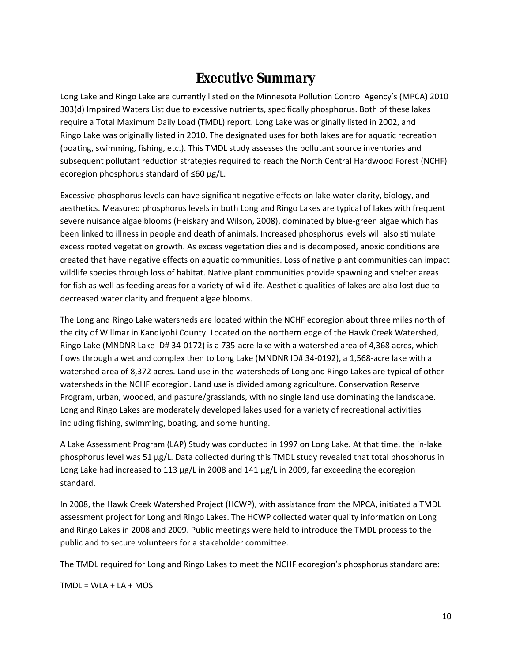# **Executive Summary**

<span id="page-9-0"></span>Long Lake and Ringo Lake are currently listed on the Minnesota Pollution Control Agency's (MPCA) 2010 303(d) Impaired Waters List due to excessive nutrients, specifically phosphorus. Both of these lakes require a Total Maximum Daily Load (TMDL) report. Long Lake was originally listed in 2002, and Ringo Lake was originally listed in 2010. The designated uses for both lakes are for aquatic recreation (boating, swimming, fishing, etc.). This TMDL study assesses the pollutant source inventories and subsequent pollutant reduction strategies required to reach the North Central Hardwood Forest (NCHF) ecoregion phosphorus standard of ≤60 µg/L.

Excessive phosphorus levels can have significant negative effects on lake water clarity, biology, and aesthetics. Measured phosphorus levels in both Long and Ringo Lakes are typical of lakes with frequent severe nuisance algae blooms (Heiskary and Wilson, 2008), dominated by blue-green algae which has been linked to illness in people and death of animals. Increased phosphorus levels will also stimulate excess rooted vegetation growth. As excess vegetation dies and is decomposed, anoxic conditions are created that have negative effects on aquatic communities. Loss of native plant communities can impact wildlife species through loss of habitat. Native plant communities provide spawning and shelter areas for fish as well as feeding areas for a variety of wildlife. Aesthetic qualities of lakes are also lost due to decreased water clarity and frequent algae blooms.

The Long and Ringo Lake watersheds are located within the NCHF ecoregion about three miles north of the city of Willmar in Kandiyohi County. Located on the northern edge of the Hawk Creek Watershed, Ringo Lake (MNDNR Lake ID# 34-0172) is a 735-acre lake with a watershed area of 4,368 acres, which flows through a wetland complex then to Long Lake (MNDNR ID# 34-0192), a 1,568-acre lake with a watershed area of 8,372 acres. Land use in the watersheds of Long and Ringo Lakes are typical of other watersheds in the NCHF ecoregion. Land use is divided among agriculture, Conservation Reserve Program, urban, wooded, and pasture/grasslands, with no single land use dominating the landscape. Long and Ringo Lakes are moderately developed lakes used for a variety of recreational activities including fishing, swimming, boating, and some hunting.

A Lake Assessment Program (LAP) Study was conducted in 1997 on Long Lake. At that time, the in-lake phosphorus level was 51 µg/L. Data collected during this TMDL study revealed that total phosphorus in Long Lake had increased to 113 µg/L in 2008 and 141 µg/L in 2009, far exceeding the ecoregion standard.

In 2008, the Hawk Creek Watershed Project (HCWP), with assistance from the MPCA, initiated a TMDL assessment project for Long and Ringo Lakes. The HCWP collected water quality information on Long and Ringo Lakes in 2008 and 2009. Public meetings were held to introduce the TMDL process to the public and to secure volunteers for a stakeholder committee.

The TMDL required for Long and Ringo Lakes to meet the NCHF ecoregion's phosphorus standard are:

 $TMDL = WLA + LA + MOS$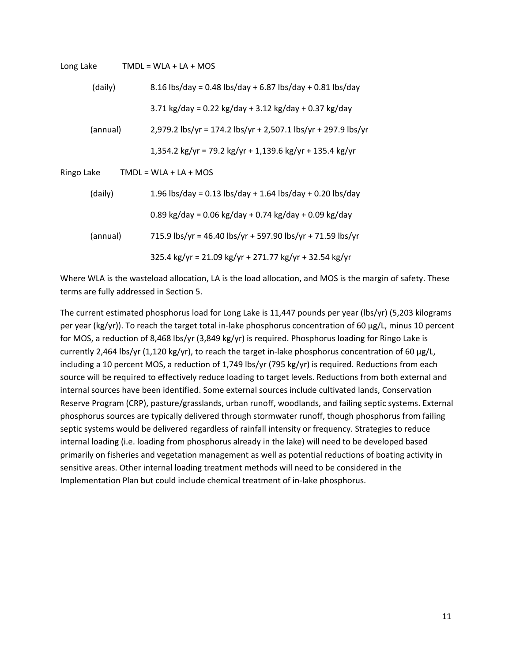| Long Lake  | $TMDL = WLA + LA + MOS$                                       |
|------------|---------------------------------------------------------------|
| (daily)    | 8.16 lbs/day = 0.48 lbs/day + 6.87 lbs/day + 0.81 lbs/day     |
|            | 3.71 kg/day = 0.22 kg/day + 3.12 kg/day + 0.37 kg/day         |
| (annual)   | 2,979.2 lbs/yr = 174.2 lbs/yr + 2,507.1 lbs/yr + 297.9 lbs/yr |
|            | 1,354.2 kg/yr = 79.2 kg/yr + 1,139.6 kg/yr + 135.4 kg/yr      |
| Ringo Lake | $TMDL = WLA + LA + MOS$                                       |
| (daily)    | 1.96 lbs/day = 0.13 lbs/day + 1.64 lbs/day + 0.20 lbs/day     |
|            | 0.89 kg/day = 0.06 kg/day + 0.74 kg/day + 0.09 kg/day         |
| (annual)   | 715.9 lbs/yr = 46.40 lbs/yr + 597.90 lbs/yr + 71.59 lbs/yr    |
|            | $325.4$ kg/yr = 21.09 kg/yr + 271.77 kg/yr + 32.54 kg/yr      |

Where WLA is the wasteload allocation, LA is the load allocation, and MOS is the margin of safety. These terms are fully addressed in Section 5.

The current estimated phosphorus load for Long Lake is 11,447 pounds per year (lbs/yr) (5,203 kilograms per year (kg/yr)). To reach the target total in-lake phosphorus concentration of 60 µg/L, minus 10 percent for MOS, a reduction of 8,468 lbs/yr (3,849 kg/yr) is required. Phosphorus loading for Ringo Lake is currently 2,464 lbs/yr (1,120 kg/yr), to reach the target in-lake phosphorus concentration of 60 µg/L, including a 10 percent MOS, a reduction of 1,749 lbs/yr (795 kg/yr) is required. Reductions from each source will be required to effectively reduce loading to target levels. Reductions from both external and internal sources have been identified. Some external sources include cultivated lands, Conservation Reserve Program (CRP), pasture/grasslands, urban runoff, woodlands, and failing septic systems. External phosphorus sources are typically delivered through stormwater runoff, though phosphorus from failing septic systems would be delivered regardless of rainfall intensity or frequency. Strategies to reduce internal loading (i.e. loading from phosphorus already in the lake) will need to be developed based primarily on fisheries and vegetation management as well as potential reductions of boating activity in sensitive areas. Other internal loading treatment methods will need to be considered in the Implementation Plan but could include chemical treatment of in-lake phosphorus.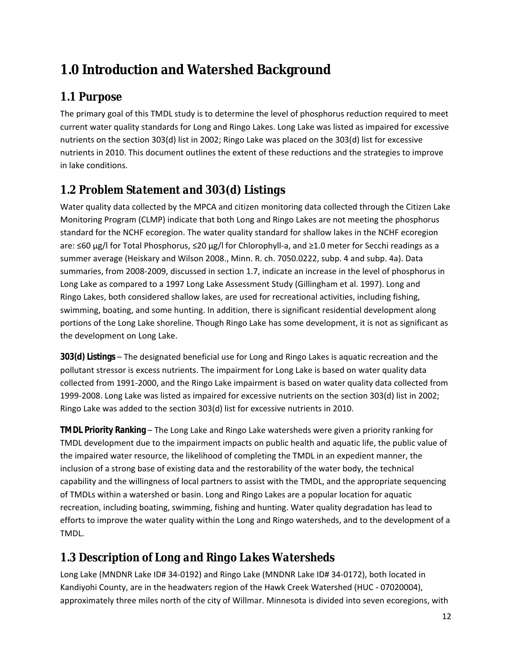# <span id="page-11-0"></span>**1.0 Introduction and Watershed Background**

# *1.1 Purpose*

The primary goal of this TMDL study is to determine the level of phosphorus reduction required to meet current water quality standards for Long and Ringo Lakes. Long Lake was listed as impaired for excessive nutrients on the section 303(d) list in 2002; Ringo Lake was placed on the 303(d) list for excessive nutrients in 2010. This document outlines the extent of these reductions and the strategies to improve in lake conditions.

# *1.2 Problem Statement and 303(d) Listings*

Water quality data collected by the MPCA and citizen monitoring data collected through the Citizen Lake Monitoring Program (CLMP) indicate that both Long and Ringo Lakes are not meeting the phosphorus standard for the NCHF ecoregion. The water quality standard for shallow lakes in the NCHF ecoregion are: ≤60 µg/l for Total Phosphorus, ≤20 µg/l for Chlorophyll-a, and ≥1.0 meter for Secchi readings as a summer average (Heiskary and Wilson 2008., Minn. R. ch. 7050.0222, subp. 4 and subp. 4a). Data summaries, from 2008-2009, discussed in section 1.7, indicate an increase in the level of phosphorus in Long Lake as compared to a 1997 Long Lake Assessment Study (Gillingham et al. 1997). Long and Ringo Lakes, both considered shallow lakes, are used for recreational activities, including fishing, swimming, boating, and some hunting. In addition, there is significant residential development along portions of the Long Lake shoreline. Though Ringo Lake has some development, it is not as significant as the development on Long Lake.

**303(d) Listings** – The designated beneficial use for Long and Ringo Lakes is aquatic recreation and the pollutant stressor is excess nutrients. The impairment for Long Lake is based on water quality data collected from 1991-2000, and the Ringo Lake impairment is based on water quality data collected from 1999-2008. Long Lake was listed as impaired for excessive nutrients on the section 303(d) list in 2002; Ringo Lake was added to the section 303(d) list for excessive nutrients in 2010.

**TMDL Priority Ranking** – The Long Lake and Ringo Lake watersheds were given a priority ranking for TMDL development due to the impairment impacts on public health and aquatic life, the public value of the impaired water resource, the likelihood of completing the TMDL in an expedient manner, the inclusion of a strong base of existing data and the restorability of the water body, the technical capability and the willingness of local partners to assist with the TMDL, and the appropriate sequencing of TMDLs within a watershed or basin. Long and Ringo Lakes are a popular location for aquatic recreation, including boating, swimming, fishing and hunting. Water quality degradation has lead to efforts to improve the water quality within the Long and Ringo watersheds, and to the development of a TMDL.

# *1.3 Description of Long and Ringo Lakes Watersheds*

Long Lake (MNDNR Lake ID# 34-0192) and Ringo Lake (MNDNR Lake ID# 34-0172), both located in Kandiyohi County, are in the headwaters region of the Hawk Creek Watershed (HUC - 07020004), approximately three miles north of the city of Willmar. Minnesota is divided into seven ecoregions, with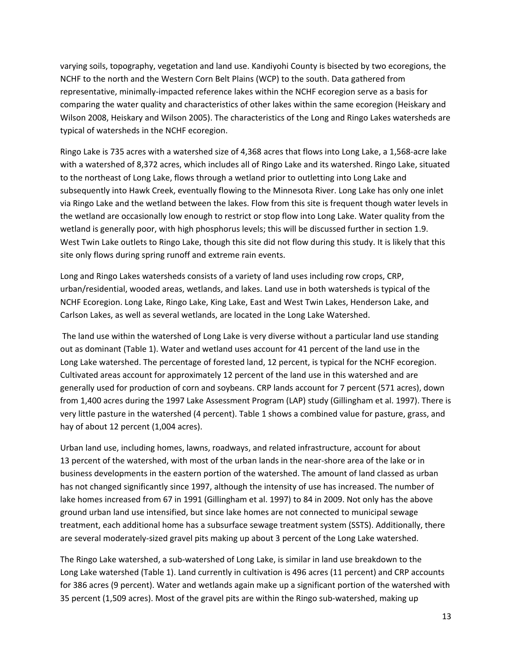varying soils, topography, vegetation and land use. Kandiyohi County is bisected by two ecoregions, the NCHF to the north and the Western Corn Belt Plains (WCP) to the south. Data gathered from representative, minimally-impacted reference lakes within the NCHF ecoregion serve as a basis for comparing the water quality and characteristics of other lakes within the same ecoregion (Heiskary and Wilson 2008, Heiskary and Wilson 2005). The characteristics of the Long and Ringo Lakes watersheds are typical of watersheds in the NCHF ecoregion.

Ringo Lake is 735 acres with a watershed size of 4,368 acres that flows into Long Lake, a 1,568-acre lake with a watershed of 8,372 acres, which includes all of Ringo Lake and its watershed. Ringo Lake, situated to the northeast of Long Lake, flows through a wetland prior to outletting into Long Lake and subsequently into Hawk Creek, eventually flowing to the Minnesota River. Long Lake has only one inlet via Ringo Lake and the wetland between the lakes. Flow from this site is frequent though water levels in the wetland are occasionally low enough to restrict or stop flow into Long Lake. Water quality from the wetland is generally poor, with high phosphorus levels; this will be discussed further in section 1.9. West Twin Lake outlets to Ringo Lake, though this site did not flow during this study. It is likely that this site only flows during spring runoff and extreme rain events.

Long and Ringo Lakes watersheds consists of a variety of land uses including row crops, CRP, urban/residential, wooded areas, wetlands, and lakes. Land use in both watersheds is typical of the NCHF Ecoregion. Long Lake, Ringo Lake, King Lake, East and West Twin Lakes, Henderson Lake, and Carlson Lakes, as well as several wetlands, are located in the Long Lake Watershed.

 The land use within the watershed of Long Lake is very diverse without a particular land use standing out as dominant (Table 1). Water and wetland uses account for 41 percent of the land use in the Long Lake watershed. The percentage of forested land, 12 percent, is typical for the NCHF ecoregion. Cultivated areas account for approximately 12 percent of the land use in this watershed and are generally used for production of corn and soybeans. CRP lands account for 7 percent (571 acres), down from 1,400 acres during the 1997 Lake Assessment Program (LAP) study (Gillingham et al. 1997). There is very little pasture in the watershed (4 percent). Table 1 shows a combined value for pasture, grass, and hay of about 12 percent (1,004 acres).

Urban land use, including homes, lawns, roadways, and related infrastructure, account for about 13 percent of the watershed, with most of the urban lands in the near-shore area of the lake or in business developments in the eastern portion of the watershed. The amount of land classed as urban has not changed significantly since 1997, although the intensity of use has increased. The number of lake homes increased from 67 in 1991 (Gillingham et al. 1997) to 84 in 2009. Not only has the above ground urban land use intensified, but since lake homes are not connected to municipal sewage treatment, each additional home has a subsurface sewage treatment system (SSTS). Additionally, there are several moderately-sized gravel pits making up about 3 percent of the Long Lake watershed.

The Ringo Lake watershed, a sub-watershed of Long Lake, is similar in land use breakdown to the Long Lake watershed (Table 1). Land currently in cultivation is 496 acres (11 percent) and CRP accounts for 386 acres (9 percent). Water and wetlands again make up a significant portion of the watershed with 35 percent (1,509 acres). Most of the gravel pits are within the Ringo sub-watershed, making up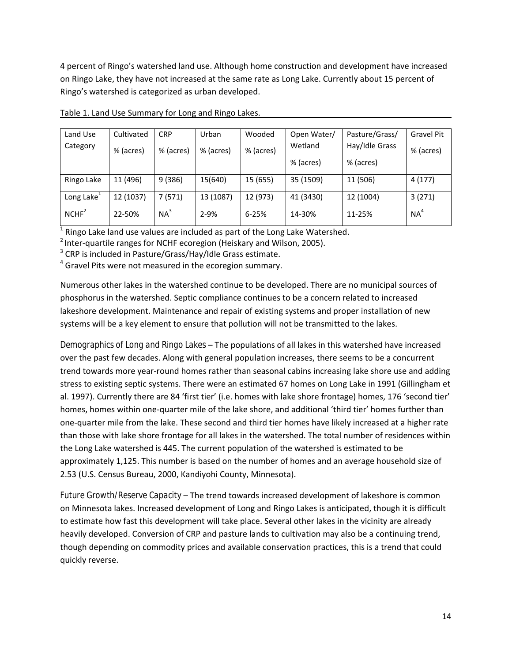<span id="page-13-0"></span>4 percent of Ringo's watershed land use. Although home construction and development have increased on Ringo Lake, they have not increased at the same rate as Long Lake. Currently about 15 percent of Ringo's watershed is categorized as urban developed.

| Land Use               | Cultivated | <b>CRP</b> | Urban     | Wooded    | Open Water/ | Pasture/Grass/ | <b>Gravel Pit</b> |
|------------------------|------------|------------|-----------|-----------|-------------|----------------|-------------------|
| Category               | % (acres)  | % (acres)  | % (acres) | % (acres) | Wetland     | Hay/Idle Grass | % (acres)         |
|                        |            |            |           |           | % (acres)   | % (acres)      |                   |
| Ringo Lake             | 11 (496)   | 9(386)     | 15(640)   | 15 (655)  | 35 (1509)   | 11 (506)       | 4(177)            |
| Long Lake <sup>1</sup> | 12 (1037)  | 7(571)     | 13 (1087) | 12 (973)  | 41 (3430)   | 12 (1004)      | 3(271)            |
| NCHF <sup>2</sup>      | 22-50%     | $NA^3$     | $2 - 9%$  | 6-25%     | 14-30%      | 11-25%         | $NA^4$            |

Table 1. Land Use Summary for Long and Ringo Lakes.

 $1$  Ringo Lake land use values are included as part of the Long Lake Watershed.

<sup>2</sup> Inter-quartile ranges for NCHF ecoregion (Heiskary and Wilson, 2005).

<sup>3</sup> CRP is included in Pasture/Grass/Hay/Idle Grass estimate.

<sup>4</sup> Gravel Pits were not measured in the ecoregion summary.

Numerous other lakes in the watershed continue to be developed. There are no municipal sources of phosphorus in the watershed. Septic compliance continues to be a concern related to increased lakeshore development. Maintenance and repair of existing systems and proper installation of new systems will be a key element to ensure that pollution will not be transmitted to the lakes.

*Demographics of Long and Ringo Lakes* – The populations of all lakes in this watershed have increased over the past few decades. Along with general population increases, there seems to be a concurrent trend towards more year-round homes rather than seasonal cabins increasing lake shore use and adding stress to existing septic systems. There were an estimated 67 homes on Long Lake in 1991 (Gillingham et al. 1997). Currently there are 84 'first tier' (i.e. homes with lake shore frontage) homes, 176 'second tier' homes, homes within one-quarter mile of the lake shore, and additional 'third tier' homes further than one-quarter mile from the lake. These second and third tier homes have likely increased at a higher rate than those with lake shore frontage for all lakes in the watershed. The total number of residences within the Long Lake watershed is 445. The current population of the watershed is estimated to be approximately 1,125. This number is based on the number of homes and an average household size of 2.53 (U.S. Census Bureau, 2000, Kandiyohi County, Minnesota).

*Future Growth/Reserve Capacity* – The trend towards increased development of lakeshore is common on Minnesota lakes. Increased development of Long and Ringo Lakes is anticipated, though it is difficult to estimate how fast this development will take place. Several other lakes in the vicinity are already heavily developed. Conversion of CRP and pasture lands to cultivation may also be a continuing trend, though depending on commodity prices and available conservation practices, this is a trend that could quickly reverse.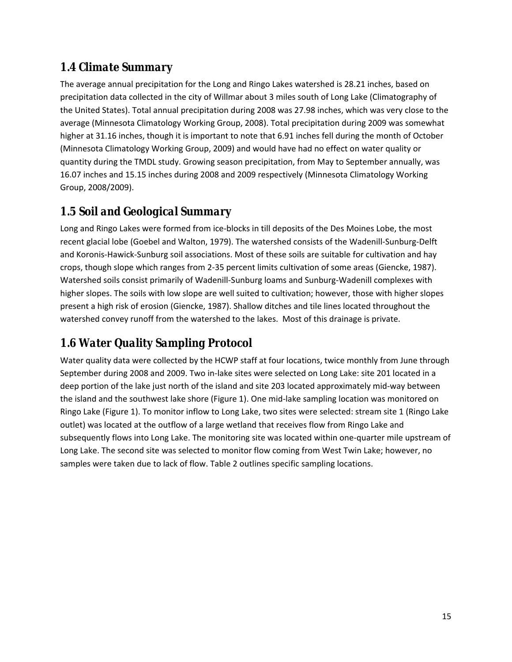### <span id="page-14-0"></span>*1.4 Climate Summary*

The average annual precipitation for the Long and Ringo Lakes watershed is 28.21 inches, based on precipitation data collected in the city of Willmar about 3 miles south of Long Lake (Climatography of the United States). Total annual precipitation during 2008 was 27.98 inches, which was very close to the average (Minnesota Climatology Working Group, 2008). Total precipitation during 2009 was somewhat higher at 31.16 inches, though it is important to note that 6.91 inches fell during the month of October (Minnesota Climatology Working Group, 2009) and would have had no effect on water quality or quantity during the TMDL study. Growing season precipitation, from May to September annually, was 16.07 inches and 15.15 inches during 2008 and 2009 respectively (Minnesota Climatology Working Group, 2008/2009).

# *1.5 Soil and Geological Summary*

Long and Ringo Lakes were formed from ice-blocks in till deposits of the Des Moines Lobe, the most recent glacial lobe (Goebel and Walton, 1979). The watershed consists of the Wadenill-Sunburg-Delft and Koronis-Hawick-Sunburg soil associations. Most of these soils are suitable for cultivation and hay crops, though slope which ranges from 2-35 percent limits cultivation of some areas (Giencke, 1987). Watershed soils consist primarily of Wadenill-Sunburg loams and Sunburg-Wadenill complexes with higher slopes. The soils with low slope are well suited to cultivation; however, those with higher slopes present a high risk of erosion (Giencke, 1987). Shallow ditches and tile lines located throughout the watershed convey runoff from the watershed to the lakes. Most of this drainage is private.

# *1.6 Water Quality Sampling Protocol*

Water quality data were collected by the HCWP staff at four locations, twice monthly from June through September during 2008 and 2009. Two in-lake sites were selected on Long Lake: site 201 located in a deep portion of the lake just north of the island and site 203 located approximately mid-way between the island and the southwest lake shore (Figure 1). One mid-lake sampling location was monitored on Ringo Lake (Figure 1). To monitor inflow to Long Lake, two sites were selected: stream site 1 (Ringo Lake outlet) was located at the outflow of a large wetland that receives flow from Ringo Lake and subsequently flows into Long Lake. The monitoring site was located within one-quarter mile upstream of Long Lake. The second site was selected to monitor flow coming from West Twin Lake; however, no samples were taken due to lack of flow. Table 2 outlines specific sampling locations.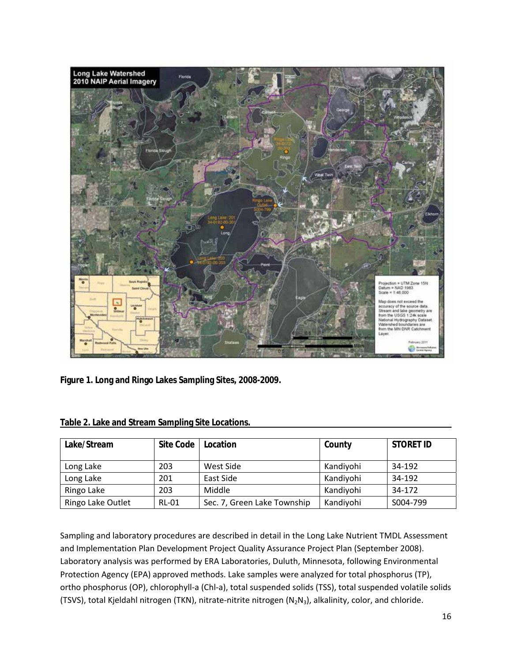<span id="page-15-0"></span>

**Figure 1. Long and Ringo Lakes Sampling Sites, 2008-2009.** 

| Lake/Stream       | Site Code    | Location                    | County    | <b>STORET ID</b> |
|-------------------|--------------|-----------------------------|-----------|------------------|
| Long Lake         | 203          | West Side                   | Kandiyohi | 34-192           |
| Long Lake         | 201          | East Side                   | Kandiyohi | 34-192           |
| Ringo Lake        | 203          | Middle                      | Kandiyohi | 34-172           |
| Ringo Lake Outlet | <b>RL-01</b> | Sec. 7, Green Lake Township | Kandiyohi | S004-799         |

|  | Table 2. Lake and Stream Sampling Site Locations. |  |  |
|--|---------------------------------------------------|--|--|
|--|---------------------------------------------------|--|--|

Sampling and laboratory procedures are described in detail in the Long Lake Nutrient TMDL Assessment and Implementation Plan Development Project Quality Assurance Project Plan (September 2008). Laboratory analysis was performed by ERA Laboratories, Duluth, Minnesota, following Environmental Protection Agency (EPA) approved methods. Lake samples were analyzed for total phosphorus (TP), ortho phosphorus (OP), chlorophyll-a (Chl-a), total suspended solids (TSS), total suspended volatile solids (TSVS), total Kjeldahl nitrogen (TKN), nitrate-nitrite nitrogen (N<sub>2</sub>N<sub>3</sub>), alkalinity, color, and chloride.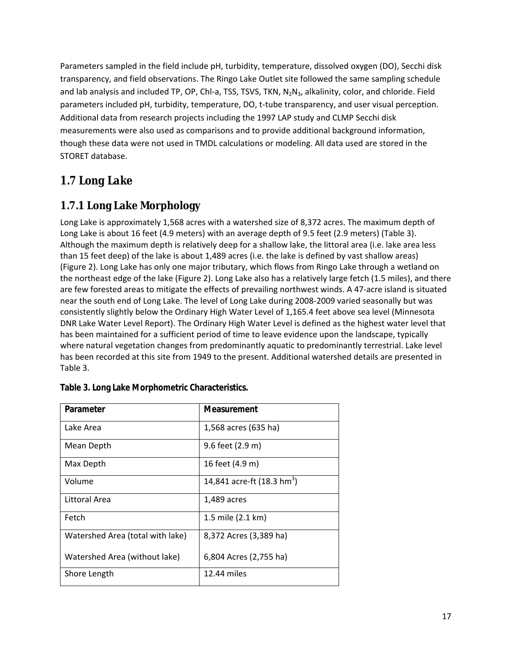<span id="page-16-0"></span>Parameters sampled in the field include pH, turbidity, temperature, dissolved oxygen (DO), Secchi disk transparency, and field observations. The Ringo Lake Outlet site followed the same sampling schedule and lab analysis and included TP, OP, Chl-a, TSS, TSVS, TKN, N<sub>2</sub>N<sub>3</sub>, alkalinity, color, and chloride. Field parameters included pH, turbidity, temperature, DO, t-tube transparency, and user visual perception. Additional data from research projects including the 1997 LAP study and CLMP Secchi disk measurements were also used as comparisons and to provide additional background information, though these data were not used in TMDL calculations or modeling. All data used are stored in the STORET database.

# *1.7 Long Lake*

### **1.7.1 Long Lake Morphology**

Long Lake is approximately 1,568 acres with a watershed size of 8,372 acres. The maximum depth of Long Lake is about 16 feet (4.9 meters) with an average depth of 9.5 feet (2.9 meters) (Table 3). Although the maximum depth is relatively deep for a shallow lake, the littoral area (i.e. lake area less than 15 feet deep) of the lake is about 1,489 acres (i.e. the lake is defined by vast shallow areas) (Figure 2). Long Lake has only one major tributary, which flows from Ringo Lake through a wetland on the northeast edge of the lake (Figure 2). Long Lake also has a relatively large fetch (1.5 miles), and there are few forested areas to mitigate the effects of prevailing northwest winds. A 47-acre island is situated near the south end of Long Lake. The level of Long Lake during 2008-2009 varied seasonally but was consistently slightly below the Ordinary High Water Level of 1,165.4 feet above sea level (Minnesota DNR Lake Water Level Report). The Ordinary High Water Level is defined as the highest water level that has been maintained for a sufficient period of time to leave evidence upon the landscape, typically where natural vegetation changes from predominantly aquatic to predominantly terrestrial. Lake level has been recorded at this site from 1949 to the present. Additional watershed details are presented in Table 3.

| Parameter                        | Measurement                            |
|----------------------------------|----------------------------------------|
| Lake Area                        | 1,568 acres (635 ha)                   |
| Mean Depth                       | 9.6 feet (2.9 m)                       |
| Max Depth                        | 16 feet (4.9 m)                        |
| Volume                           | 14,841 acre-ft (18.3 hm <sup>3</sup> ) |
| Littoral Area                    | 1,489 acres                            |
| Fetch                            | 1.5 mile (2.1 km)                      |
| Watershed Area (total with lake) | 8,372 Acres (3,389 ha)                 |
| Watershed Area (without lake)    | 6,804 Acres (2,755 ha)                 |
| Shore Length                     | 12.44 miles                            |

| Table 3. Long Lake Morphometric Characteristics. |
|--------------------------------------------------|
|--------------------------------------------------|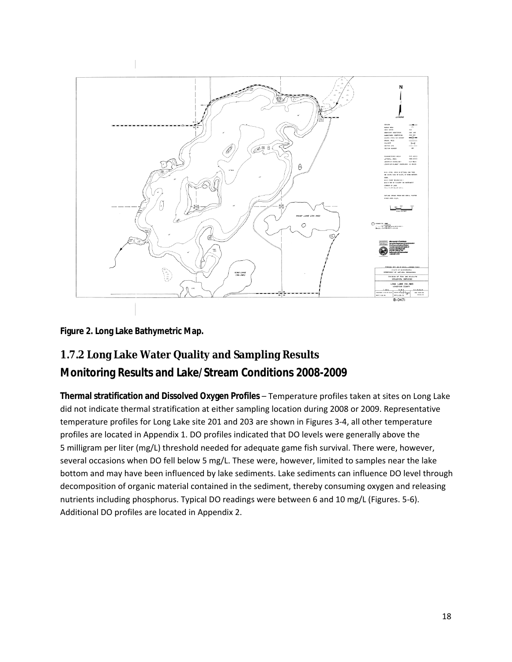<span id="page-17-0"></span>![](_page_17_Figure_0.jpeg)

**Figure 2. Long Lake Bathymetric Map.** 

# **1.7.2 Long Lake Water Quality and Sampling Results**

### **Monitoring Results and Lake/Stream Conditions 2008-2009**

**Thermal stratification and Dissolved Oxygen Profiles** – Temperature profiles taken at sites on Long Lake did not indicate thermal stratification at either sampling location during 2008 or 2009. Representative temperature profiles for Long Lake site 201 and 203 are shown in Figures 3-4, all other temperature profiles are located in Appendix 1. DO profiles indicated that DO levels were generally above the 5 milligram per liter (mg/L) threshold needed for adequate game fish survival. There were, however, several occasions when DO fell below 5 mg/L. These were, however, limited to samples near the lake bottom and may have been influenced by lake sediments. Lake sediments can influence DO level through decomposition of organic material contained in the sediment, thereby consuming oxygen and releasing nutrients including phosphorus. Typical DO readings were between 6 and 10 mg/L (Figures. 5-6). Additional DO profiles are located in Appendix 2.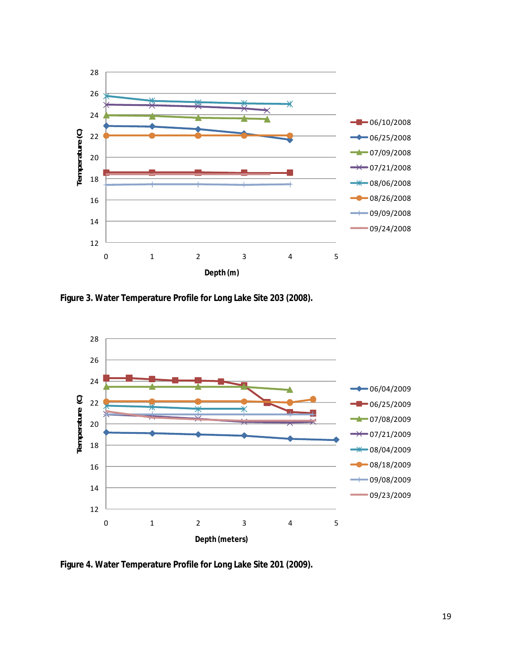<span id="page-18-0"></span>![](_page_18_Figure_0.jpeg)

**Figure 3. Water Temperature Profile for Long Lake Site 203 (2008).** 

![](_page_18_Figure_2.jpeg)

**Figure 4. Water Temperature Profile for Long Lake Site 201 (2009).**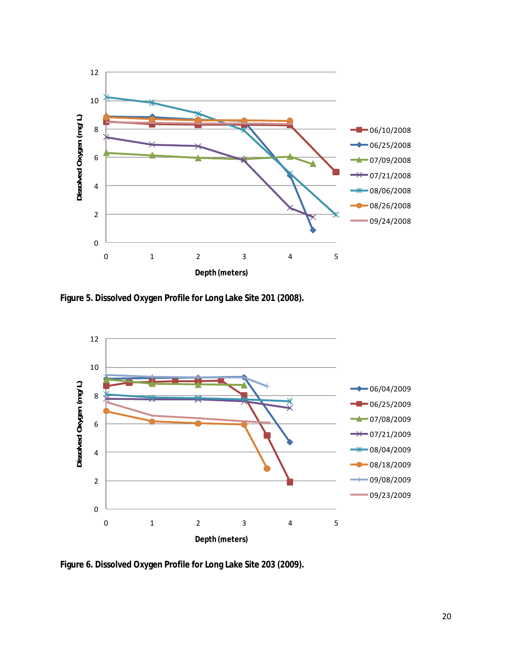<span id="page-19-0"></span>![](_page_19_Figure_0.jpeg)

**Figure 5. Dissolved Oxygen Profile for Long Lake Site 201 (2008).**

![](_page_19_Figure_2.jpeg)

**Figure 6. Dissolved Oxygen Profile for Long Lake Site 203 (2009).**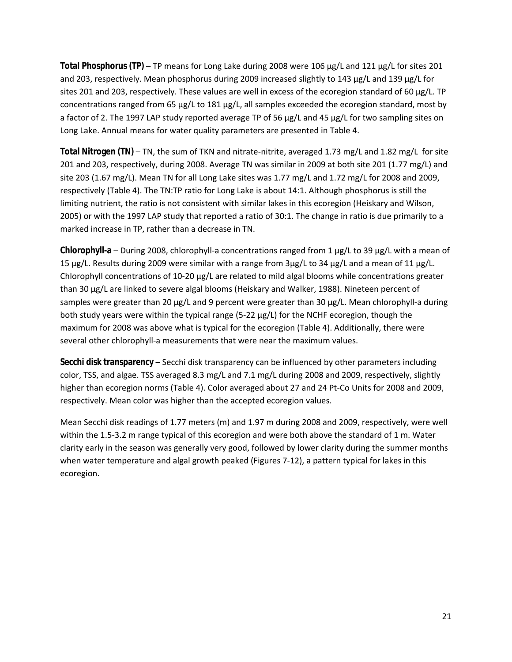**Total Phosphorus (TP)** – TP means for Long Lake during 2008 were 106 µg/L and 121 µg/L for sites 201 and 203, respectively. Mean phosphorus during 2009 increased slightly to 143 µg/L and 139 µg/L for sites 201 and 203, respectively. These values are well in excess of the ecoregion standard of 60 µg/L. TP concentrations ranged from 65 µg/L to 181 µg/L, all samples exceeded the ecoregion standard, most by a factor of 2. The 1997 LAP study reported average TP of 56 µg/L and 45 µg/L for two sampling sites on Long Lake. Annual means for water quality parameters are presented in Table 4.

**Total Nitrogen (TN)** – TN, the sum of TKN and nitrate-nitrite, averaged 1.73 mg/L and 1.82 mg/L for site 201 and 203, respectively, during 2008. Average TN was similar in 2009 at both site 201 (1.77 mg/L) and site 203 (1.67 mg/L). Mean TN for all Long Lake sites was 1.77 mg/L and 1.72 mg/L for 2008 and 2009, respectively (Table 4). The TN:TP ratio for Long Lake is about 14:1. Although phosphorus is still the limiting nutrient, the ratio is not consistent with similar lakes in this ecoregion (Heiskary and Wilson, 2005) or with the 1997 LAP study that reported a ratio of 30:1. The change in ratio is due primarily to a marked increase in TP, rather than a decrease in TN.

**Chlorophyll-a** – During 2008, chlorophyll-a concentrations ranged from 1 µg/L to 39 µg/L with a mean of 15 µg/L. Results during 2009 were similar with a range from 3µg/L to 34 µg/L and a mean of 11 µg/L. Chlorophyll concentrations of 10-20 µg/L are related to mild algal blooms while concentrations greater than 30 µg/L are linked to severe algal blooms (Heiskary and Walker, 1988). Nineteen percent of samples were greater than 20  $\mu$ g/L and 9 percent were greater than 30  $\mu$ g/L. Mean chlorophyll-a during both study years were within the typical range (5-22 µg/L) for the NCHF ecoregion, though the maximum for 2008 was above what is typical for the ecoregion (Table 4). Additionally, there were several other chlorophyll-a measurements that were near the maximum values.

**Secchi disk transparency** – Secchi disk transparency can be influenced by other parameters including color, TSS, and algae. TSS averaged 8.3 mg/L and 7.1 mg/L during 2008 and 2009, respectively, slightly higher than ecoregion norms (Table 4). Color averaged about 27 and 24 Pt-Co Units for 2008 and 2009, respectively. Mean color was higher than the accepted ecoregion values.

Mean Secchi disk readings of 1.77 meters (m) and 1.97 m during 2008 and 2009, respectively, were well within the 1.5-3.2 m range typical of this ecoregion and were both above the standard of 1 m. Water clarity early in the season was generally very good, followed by lower clarity during the summer months when water temperature and algal growth peaked (Figures 7-12), a pattern typical for lakes in this ecoregion.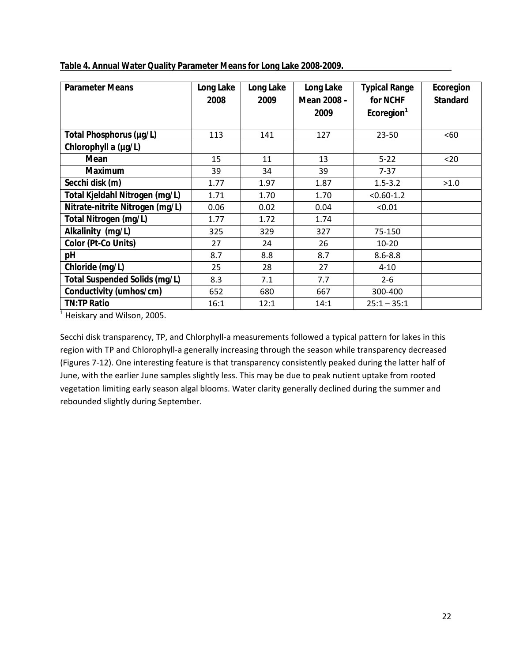| <b>Parameter Means</b>               | Long Lake<br>2008 | Long Lake<br>2009 | Long Lake<br>Mean 2008 - | <b>Typical Range</b><br>for NCHF | Ecoregion<br><b>Standard</b> |
|--------------------------------------|-------------------|-------------------|--------------------------|----------------------------------|------------------------------|
|                                      |                   |                   | 2009                     | Ecoregion <sup>1</sup>           |                              |
| Total Phosphorus (µg/L)              | 113               | 141               | 127                      | $23 - 50$                        | <60                          |
| Chlorophyll a (µg/L)                 |                   |                   |                          |                                  |                              |
| Mean                                 | 15                | 11                | 13                       | $5 - 22$                         | $20$                         |
| <b>Maximum</b>                       | 39                | 34                | 39                       | $7 - 37$                         |                              |
| Secchi disk (m)                      | 1.77              | 1.97              | 1.87                     | $1.5 - 3.2$                      | >1.0                         |
| Total Kjeldahl Nitrogen (mg/L)       | 1.71              | 1.70              | 1.70                     | $< 0.60 - 1.2$                   |                              |
| Nitrate-nitrite Nitrogen (mg/L)      | 0.06              | 0.02              | 0.04                     | < 0.01                           |                              |
| Total Nitrogen (mg/L)                | 1.77              | 1.72              | 1.74                     |                                  |                              |
| Alkalinity (mg/L)                    | 325               | 329               | 327                      | 75-150                           |                              |
| Color (Pt-Co Units)                  | 27                | 24                | 26                       | $10 - 20$                        |                              |
| pH                                   | 8.7               | 8.8               | 8.7                      | $8.6 - 8.8$                      |                              |
| Chloride (mg/L)                      | 25                | 28                | 27                       | $4 - 10$                         |                              |
| <b>Total Suspended Solids (mg/L)</b> | 8.3               | 7.1               | 7.7                      | $2 - 6$                          |                              |
| Conductivity (umhos/cm)              | 652               | 680               | 667                      | 300-400                          |                              |
| <b>TN:TP Ratio</b>                   | 16:1              | 12:1              | 14:1                     | $25:1 - 35:1$                    |                              |
| Heiskary and Wilson, 2005.           |                   |                   |                          |                                  |                              |

<span id="page-21-0"></span>**Table 4. Annual Water Quality Parameter Means for Long Lake 2008-2009.** 

Secchi disk transparency, TP, and Chlorphyll-a measurements followed a typical pattern for lakes in this region with TP and Chlorophyll-a generally increasing through the season while transparency decreased (Figures 7-12). One interesting feature is that transparency consistently peaked during the latter half of June, with the earlier June samples slightly less. This may be due to peak nutient uptake from rooted vegetation limiting early season algal blooms. Water clarity generally declined during the summer and rebounded slightly during September.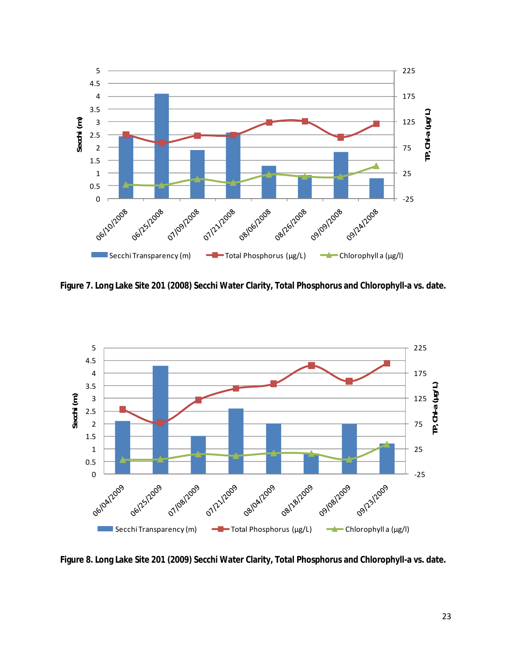<span id="page-22-0"></span>![](_page_22_Figure_0.jpeg)

**Figure 7. Long Lake Site 201 (2008) Secchi Water Clarity, Total Phosphorus and Chlorophyll-a vs. date.** 

![](_page_22_Figure_2.jpeg)

**Figure 8. Long Lake Site 201 (2009) Secchi Water Clarity, Total Phosphorus and Chlorophyll-a vs. date.**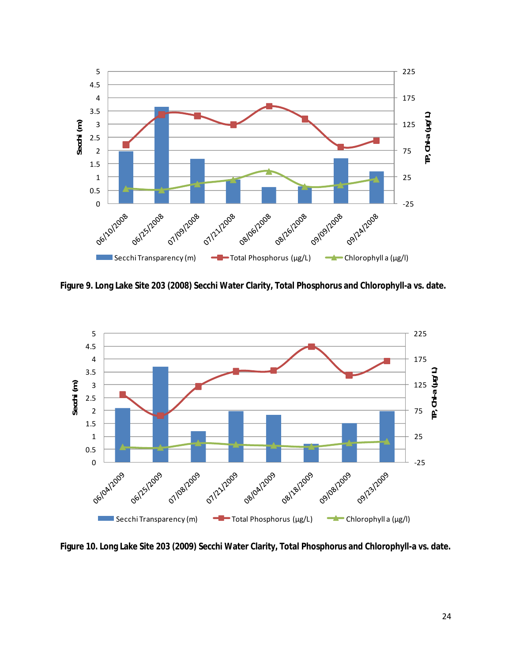<span id="page-23-0"></span>![](_page_23_Figure_0.jpeg)

**Figure 9. Long Lake Site 203 (2008) Secchi Water Clarity, Total Phosphorus and Chlorophyll-a vs. date.** 

![](_page_23_Figure_2.jpeg)

**Figure 10. Long Lake Site 203 (2009) Secchi Water Clarity, Total Phosphorus and Chlorophyll-a vs. date.**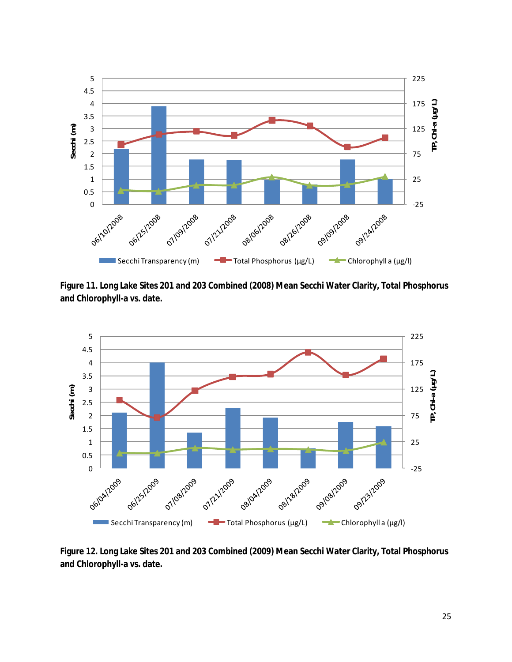<span id="page-24-0"></span>![](_page_24_Figure_0.jpeg)

**Figure 11. Long Lake Sites 201 and 203 Combined (2008) Mean Secchi Water Clarity, Total Phosphorus and Chlorophyll-a vs. date.** 

![](_page_24_Figure_2.jpeg)

**Figure 12. Long Lake Sites 201 and 203 Combined (2009) Mean Secchi Water Clarity, Total Phosphorus and Chlorophyll-a vs. date.**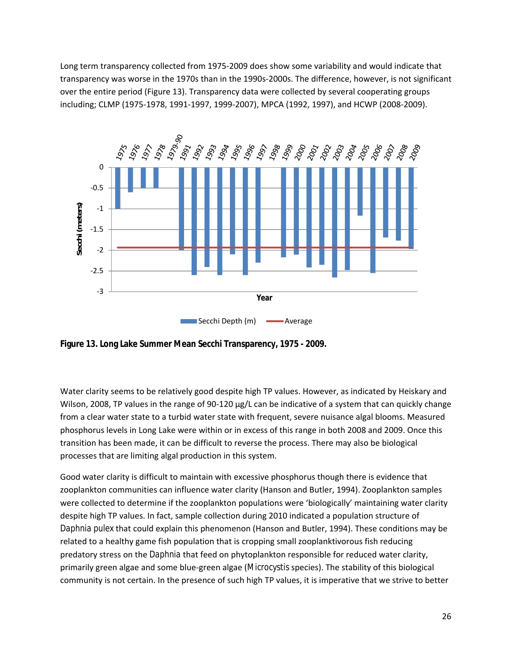<span id="page-25-0"></span>Long term transparency collected from 1975-2009 does show some variability and would indicate that transparency was worse in the 1970s than in the 1990s-2000s. The difference, however, is not significant over the entire period (Figure 13). Transparency data were collected by several cooperating groups including; CLMP (1975-1978, 1991-1997, 1999-2007), MPCA (1992, 1997), and HCWP (2008-2009).

![](_page_25_Figure_1.jpeg)

**Figure 13. Long Lake Summer Mean Secchi Transparency, 1975 - 2009.**

Water clarity seems to be relatively good despite high TP values. However, as indicated by Heiskary and Wilson, 2008, TP values in the range of 90-120  $\mu$ g/L can be indicative of a system that can quickly change from a clear water state to a turbid water state with frequent, severe nuisance algal blooms. Measured phosphorus levels in Long Lake were within or in excess of this range in both 2008 and 2009. Once this transition has been made, it can be difficult to reverse the process. There may also be biological processes that are limiting algal production in this system.

Good water clarity is difficult to maintain with excessive phosphorus though there is evidence that zooplankton communities can influence water clarity (Hanson and Butler, 1994). Zooplankton samples were collected to determine if the zooplankton populations were 'biologically' maintaining water clarity despite high TP values. In fact, sample collection during 2010 indicated a population structure of *Daphnia pulex* that could explain this phenomenon (Hanson and Butler, 1994). These conditions may be related to a healthy game fish population that is cropping small zooplanktivorous fish reducing predatory stress on the *Daphnia* that feed on phytoplankton responsible for reduced water clarity, primarily green algae and some blue-green algae (*Microcystis* species). The stability of this biological community is not certain. In the presence of such high TP values, it is imperative that we strive to better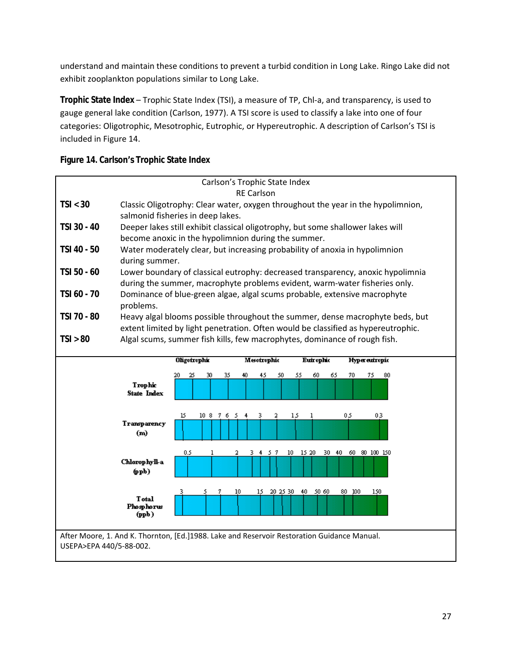<span id="page-26-0"></span>understand and maintain these conditions to prevent a turbid condition in Long Lake. Ringo Lake did not exhibit zooplankton populations similar to Long Lake.

**Trophic State Index** – Trophic State Index (TSI), a measure of TP, Chl-a, and transparency, is used to gauge general lake condition (Carlson, 1977). A TSI score is used to classify a lake into one of four categories: Oligotrophic, Mesotrophic, Eutrophic, or Hypereutrophic. A description of Carlson's TSI is included in Figure 14.

| Carlson's Trophic State Index                                          |                                                                                  |                                                                                             |  |  |  |
|------------------------------------------------------------------------|----------------------------------------------------------------------------------|---------------------------------------------------------------------------------------------|--|--|--|
| <b>RE Carlson</b>                                                      |                                                                                  |                                                                                             |  |  |  |
| TSI < 30                                                               | Classic Oligotrophy: Clear water, oxygen throughout the year in the hypolimnion, |                                                                                             |  |  |  |
|                                                                        | salmonid fisheries in deep lakes.                                                |                                                                                             |  |  |  |
| TSI 30 - 40                                                            |                                                                                  | Deeper lakes still exhibit classical oligotrophy, but some shallower lakes will             |  |  |  |
|                                                                        | become anoxic in the hypolimnion during the summer.                              |                                                                                             |  |  |  |
| TSI 40 - 50                                                            | Water moderately clear, but increasing probability of anoxia in hypolimnion      |                                                                                             |  |  |  |
|                                                                        | during summer.                                                                   |                                                                                             |  |  |  |
| TSI 50 - 60                                                            |                                                                                  | Lower boundary of classical eutrophy: decreased transparency, anoxic hypolimnia             |  |  |  |
|                                                                        |                                                                                  | during the summer, macrophyte problems evident, warm-water fisheries only.                  |  |  |  |
| TSI 60 - 70                                                            |                                                                                  | Dominance of blue-green algae, algal scums probable, extensive macrophyte                   |  |  |  |
|                                                                        | problems.                                                                        |                                                                                             |  |  |  |
| TSI 70 - 80                                                            |                                                                                  | Heavy algal blooms possible throughout the summer, dense macrophyte beds, but               |  |  |  |
|                                                                        |                                                                                  | extent limited by light penetration. Often would be classified as hypereutrophic.           |  |  |  |
| TSI > 80                                                               |                                                                                  | Algal scums, summer fish kills, few macrophytes, dominance of rough fish.                   |  |  |  |
|                                                                        |                                                                                  |                                                                                             |  |  |  |
| <b>Oligotrophic</b><br>Meotrophic<br><b>Euirophic</b><br>Hyperentropic |                                                                                  |                                                                                             |  |  |  |
|                                                                        |                                                                                  |                                                                                             |  |  |  |
|                                                                        |                                                                                  |                                                                                             |  |  |  |
|                                                                        |                                                                                  | 30<br>45<br>50<br>55<br>60<br>65<br>70<br>75<br>80<br>25<br>35<br>40.<br>20                 |  |  |  |
|                                                                        | Trophic<br><b>State Index</b>                                                    |                                                                                             |  |  |  |
|                                                                        |                                                                                  |                                                                                             |  |  |  |
|                                                                        |                                                                                  | 15<br>05<br>03<br>3<br>2<br>15<br>10876<br>- 5<br>4<br>1                                    |  |  |  |
|                                                                        | Transparency                                                                     |                                                                                             |  |  |  |
|                                                                        | (m)                                                                              |                                                                                             |  |  |  |
|                                                                        |                                                                                  | 1<br>3.<br>4                                                                                |  |  |  |
|                                                                        | Chlorophyll-a                                                                    | 0.5<br>10 15 20 30 40 60 80 100 150<br>57                                                   |  |  |  |
|                                                                        | $(\mathbf{ppb})$                                                                 |                                                                                             |  |  |  |
|                                                                        |                                                                                  |                                                                                             |  |  |  |
|                                                                        |                                                                                  | 20 25 30 40<br>50 60<br>80 100<br>150<br>10<br>15                                           |  |  |  |
|                                                                        | <b>T</b> otal<br>Phosphorus                                                      |                                                                                             |  |  |  |
|                                                                        | (ppb)                                                                            |                                                                                             |  |  |  |
|                                                                        |                                                                                  |                                                                                             |  |  |  |
| USEPA>EPA 440/5-88-002.                                                |                                                                                  | After Moore, 1. And K. Thornton, [Ed.]1988. Lake and Reservoir Restoration Guidance Manual. |  |  |  |

#### **Figure 14. Carlson's Trophic State Index**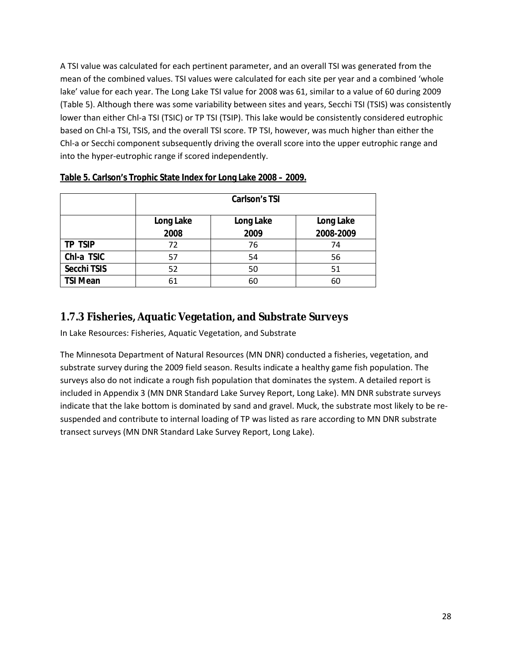<span id="page-27-0"></span>A TSI value was calculated for each pertinent parameter, and an overall TSI was generated from the mean of the combined values. TSI values were calculated for each site per year and a combined 'whole lake' value for each year. The Long Lake TSI value for 2008 was 61, similar to a value of 60 during 2009 (Table 5). Although there was some variability between sites and years, Secchi TSI (TSIS) was consistently lower than either Chl-a TSI (TSIC) or TP TSI (TSIP). This lake would be consistently considered eutrophic based on Chl-a TSI, TSIS, and the overall TSI score. TP TSI, however, was much higher than either the Chl-a or Secchi component subsequently driving the overall score into the upper eutrophic range and into the hyper-eutrophic range if scored independently.

|                 | <b>Carlson's TSI</b>                |      |           |  |  |
|-----------------|-------------------------------------|------|-----------|--|--|
|                 | Long Lake<br>Long Lake<br>Long Lake |      |           |  |  |
|                 | 2008                                | 2009 | 2008-2009 |  |  |
| <b>TP TSIP</b>  | 72                                  | 76   | 74        |  |  |
| Chl-a TSIC      | 57                                  | 54   | 56        |  |  |
| Secchi TSIS     | 52                                  | 50   | 51        |  |  |
| <b>TSI Mean</b> | 61                                  | 60   | 60        |  |  |

#### **Table 5. Carlson's Trophic State Index for Long Lake 2008 – 2009.**

### **1.7.3 Fisheries, Aquatic Vegetation, and Substrate Surveys**

In Lake Resources: Fisheries, Aquatic Vegetation, and Substrate

The Minnesota Department of Natural Resources (MN DNR) conducted a fisheries, vegetation, and substrate survey during the 2009 field season. Results indicate a healthy game fish population. The surveys also do not indicate a rough fish population that dominates the system. A detailed report is included in Appendix 3 (MN DNR Standard Lake Survey Report, Long Lake). MN DNR substrate surveys indicate that the lake bottom is dominated by sand and gravel. Muck, the substrate most likely to be resuspended and contribute to internal loading of TP was listed as rare according to MN DNR substrate transect surveys (MN DNR Standard Lake Survey Report, Long Lake).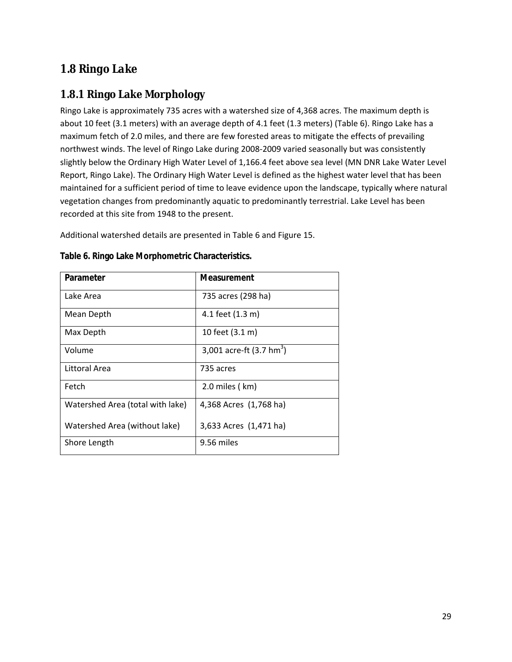### <span id="page-28-0"></span>*1.8 Ringo Lake*

### **1.8.1 Ringo Lake Morphology**

Ringo Lake is approximately 735 acres with a watershed size of 4,368 acres. The maximum depth is about 10 feet (3.1 meters) with an average depth of 4.1 feet (1.3 meters) (Table 6). Ringo Lake has a maximum fetch of 2.0 miles, and there are few forested areas to mitigate the effects of prevailing northwest winds. The level of Ringo Lake during 2008-2009 varied seasonally but was consistently slightly below the Ordinary High Water Level of 1,166.4 feet above sea level (MN DNR Lake Water Level Report, Ringo Lake). The Ordinary High Water Level is defined as the highest water level that has been maintained for a sufficient period of time to leave evidence upon the landscape, typically where natural vegetation changes from predominantly aquatic to predominantly terrestrial. Lake Level has been recorded at this site from 1948 to the present.

Additional watershed details are presented in Table 6 and Figure 15.

| Parameter                        | Measurement                        |
|----------------------------------|------------------------------------|
| Lake Area                        | 735 acres (298 ha)                 |
| Mean Depth                       | 4.1 feet (1.3 m)                   |
| Max Depth                        | 10 feet (3.1 m)                    |
| Volume                           | 3,001 acre-ft $(3.7 \text{ hm}^3)$ |
| Littoral Area                    | 735 acres                          |
| Fetch                            | $2.0$ miles ( $km$ )               |
| Watershed Area (total with lake) | 4,368 Acres (1,768 ha)             |
| Watershed Area (without lake)    | 3,633 Acres (1,471 ha)             |
| Shore Length                     | 9.56 miles                         |

**Table 6. Ringo Lake Morphometric Characteristics.**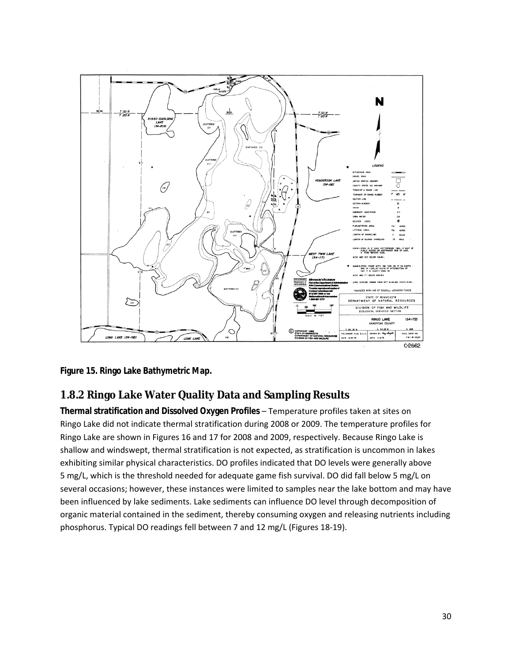<span id="page-29-0"></span>![](_page_29_Figure_0.jpeg)

**Figure 15. Ringo Lake Bathymetric Map.** 

### **1.8.2 Ringo Lake Water Quality Data and Sampling Results**

**Thermal stratification and Dissolved Oxygen Profiles** – Temperature profiles taken at sites on Ringo Lake did not indicate thermal stratification during 2008 or 2009. The temperature profiles for Ringo Lake are shown in Figures 16 and 17 for 2008 and 2009, respectively. Because Ringo Lake is shallow and windswept, thermal stratification is not expected, as stratification is uncommon in lakes exhibiting similar physical characteristics. DO profiles indicated that DO levels were generally above 5 mg/L, which is the threshold needed for adequate game fish survival. DO did fall below 5 mg/L on several occasions; however, these instances were limited to samples near the lake bottom and may have been influenced by lake sediments. Lake sediments can influence DO level through decomposition of organic material contained in the sediment, thereby consuming oxygen and releasing nutrients including phosphorus. Typical DO readings fell between 7 and 12 mg/L (Figures 18-19).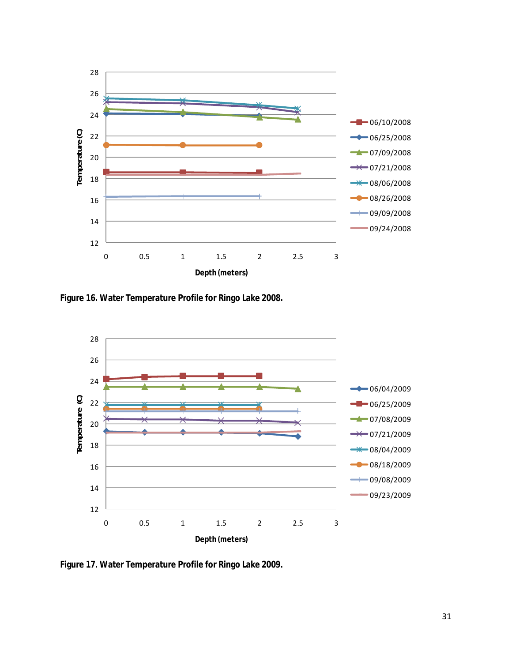<span id="page-30-0"></span>![](_page_30_Figure_0.jpeg)

**Figure 16. Water Temperature Profile for Ringo Lake 2008.** 

![](_page_30_Figure_2.jpeg)

**Figure 17. Water Temperature Profile for Ringo Lake 2009.**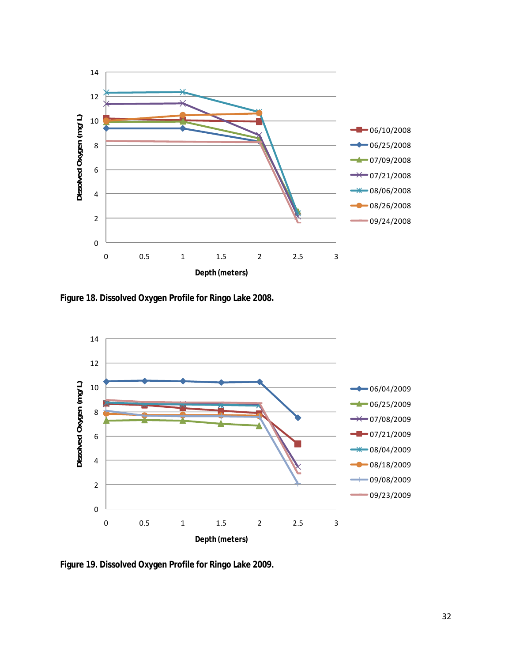<span id="page-31-0"></span>![](_page_31_Figure_0.jpeg)

**Figure 18. Dissolved Oxygen Profile for Ringo Lake 2008.** 

![](_page_31_Figure_2.jpeg)

**Figure 19. Dissolved Oxygen Profile for Ringo Lake 2009.**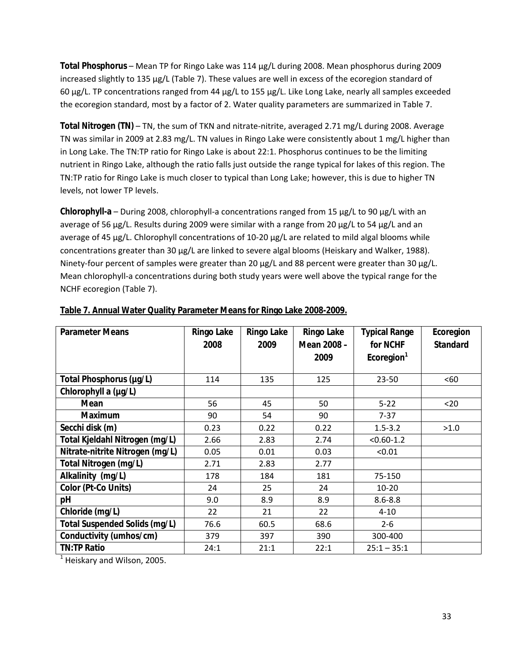<span id="page-32-0"></span>**Total Phosphorus** – Mean TP for Ringo Lake was 114 µg/L during 2008. Mean phosphorus during 2009 increased slightly to 135 µg/L (Table 7). These values are well in excess of the ecoregion standard of 60 µg/L. TP concentrations ranged from 44 µg/L to 155 µg/L. Like Long Lake, nearly all samples exceeded the ecoregion standard, most by a factor of 2. Water quality parameters are summarized in Table 7.

**Total Nitrogen (TN)** – TN, the sum of TKN and nitrate-nitrite, averaged 2.71 mg/L during 2008. Average TN was similar in 2009 at 2.83 mg/L. TN values in Ringo Lake were consistently about 1 mg/L higher than in Long Lake. The TN:TP ratio for Ringo Lake is about 22:1. Phosphorus continues to be the limiting nutrient in Ringo Lake, although the ratio falls just outside the range typical for lakes of this region. The TN:TP ratio for Ringo Lake is much closer to typical than Long Lake; however, this is due to higher TN levels, not lower TP levels.

**Chlorophyll-a** – During 2008, chlorophyll-a concentrations ranged from 15 µg/L to 90 µg/L with an average of 56  $\mu$ g/L. Results during 2009 were similar with a range from 20  $\mu$ g/L to 54  $\mu$ g/L and an average of 45 µg/L. Chlorophyll concentrations of 10-20 µg/L are related to mild algal blooms while concentrations greater than 30 µg/L are linked to severe algal blooms (Heiskary and Walker, 1988). Ninety-four percent of samples were greater than 20 µg/L and 88 percent were greater than 30 µg/L. Mean chlorophyll-a concentrations during both study years were well above the typical range for the NCHF ecoregion (Table 7).

| <b>Parameter Means</b>          | <b>Ringo Lake</b><br>2008 | <b>Ringo Lake</b><br>2009 | <b>Ringo Lake</b><br>Mean 2008 - | <b>Typical Range</b><br>for NCHF | Ecoregion<br><b>Standard</b> |
|---------------------------------|---------------------------|---------------------------|----------------------------------|----------------------------------|------------------------------|
|                                 |                           |                           | 2009                             | Ecoregion <sup>1</sup>           |                              |
| Total Phosphorus (µg/L)         | 114                       | 135                       | 125                              | 23-50                            | <60                          |
| Chlorophyll a (µg/L)            |                           |                           |                                  |                                  |                              |
| Mean                            | 56                        | 45                        | 50                               | $5 - 22$                         | $20$                         |
| <b>Maximum</b>                  | 90                        | 54                        | 90                               | $7 - 37$                         |                              |
| Secchi disk (m)                 | 0.23                      | 0.22                      | 0.22                             | $1.5 - 3.2$                      | >1.0                         |
| Total Kjeldahl Nitrogen (mg/L)  | 2.66                      | 2.83                      | 2.74                             | $< 0.60 - 1.2$                   |                              |
| Nitrate-nitrite Nitrogen (mg/L) | 0.05                      | 0.01                      | 0.03                             | < 0.01                           |                              |
| Total Nitrogen (mg/L)           | 2.71                      | 2.83                      | 2.77                             |                                  |                              |
| Alkalinity (mg/L)               | 178                       | 184                       | 181                              | 75-150                           |                              |
| Color (Pt-Co Units)             | 24                        | 25                        | 24                               | $10 - 20$                        |                              |
| pH                              | 9.0                       | 8.9                       | 8.9                              | $8.6 - 8.8$                      |                              |
| Chloride (mg/L)                 | 22                        | 21                        | 22                               | $4 - 10$                         |                              |
| Total Suspended Solids (mg/L)   | 76.6                      | 60.5                      | 68.6                             | $2 - 6$                          |                              |
| Conductivity (umhos/cm)         | 379                       | 397                       | 390                              | 300-400                          |                              |
| <b>TN:TP Ratio</b>              | 24:1                      | 21:1                      | 22:1                             | $25:1 - 35:1$                    |                              |
| Hoickany and Wilcon 2005        |                           |                           |                                  |                                  |                              |

#### **Table 7. Annual Water Quality Parameter Means for Ringo Lake 2008-2009.**

 $<sup>1</sup>$  Heiskary and Wilson, 2005.</sup>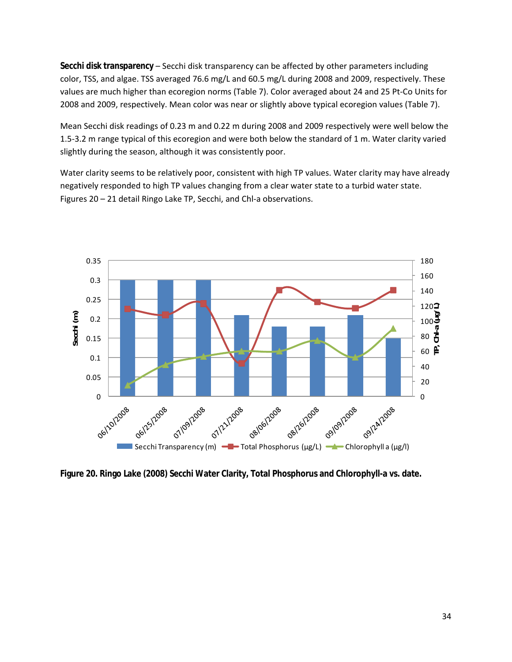<span id="page-33-0"></span>**Secchi disk transparency** – Secchi disk transparency can be affected by other parameters including color, TSS, and algae. TSS averaged 76.6 mg/L and 60.5 mg/L during 2008 and 2009, respectively. These values are much higher than ecoregion norms (Table 7). Color averaged about 24 and 25 Pt-Co Units for 2008 and 2009, respectively. Mean color was near or slightly above typical ecoregion values (Table 7).

Mean Secchi disk readings of 0.23 m and 0.22 m during 2008 and 2009 respectively were well below the 1.5-3.2 m range typical of this ecoregion and were both below the standard of 1 m. Water clarity varied slightly during the season, although it was consistently poor.

Water clarity seems to be relatively poor, consistent with high TP values. Water clarity may have already negatively responded to high TP values changing from a clear water state to a turbid water state. Figures 20 – 21 detail Ringo Lake TP, Secchi, and Chl-a observations.

![](_page_33_Figure_3.jpeg)

**Figure 20. Ringo Lake (2008) Secchi Water Clarity, Total Phosphorus and Chlorophyll-a vs. date.**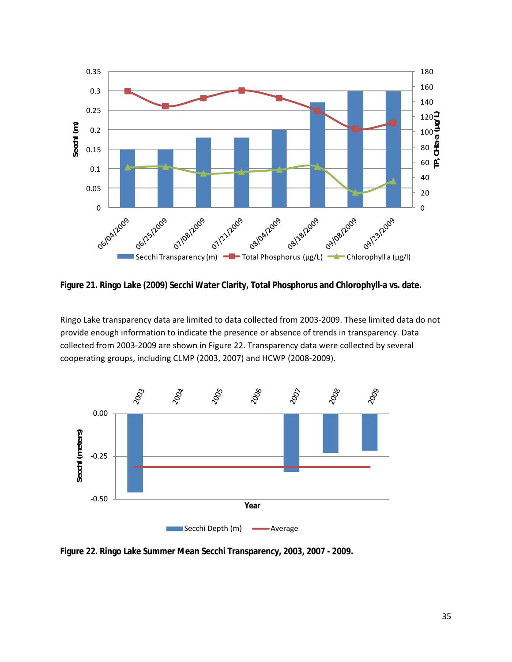<span id="page-34-0"></span>![](_page_34_Figure_0.jpeg)

**Figure 21. Ringo Lake (2009) Secchi Water Clarity, Total Phosphorus and Chlorophyll-a vs. date.** 

Ringo Lake transparency data are limited to data collected from 2003-2009. These limited data do not provide enough information to indicate the presence or absence of trends in transparency. Data collected from 2003-2009 are shown in Figure 22. Transparency data were collected by several cooperating groups, including CLMP (2003, 2007) and HCWP (2008-2009).

![](_page_34_Figure_3.jpeg)

**Figure 22. Ringo Lake Summer Mean Secchi Transparency, 2003, 2007 - 2009.**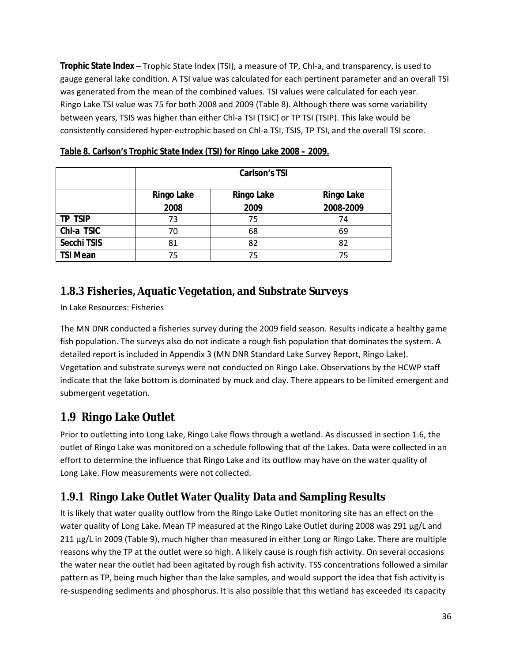<span id="page-35-0"></span>**Trophic State Index** – Trophic State Index (TSI), a measure of TP, Chl-a, and transparency, is used to gauge general lake condition. A TSI value was calculated for each pertinent parameter and an overall TSI was generated from the mean of the combined values. TSI values were calculated for each year. Ringo Lake TSI value was 75 for both 2008 and 2009 (Table 8). Although there was some variability between years, TSIS was higher than either Chl-a TSI (TSIC) or TP TSI (TSIP). This lake would be consistently considered hyper-eutrophic based on Chl-a TSI, TSIS, TP TSI, and the overall TSI score.

|                 | Carlson's TSI                                               |      |           |  |  |  |
|-----------------|-------------------------------------------------------------|------|-----------|--|--|--|
|                 | <b>Ringo Lake</b><br><b>Ringo Lake</b><br><b>Ringo Lake</b> |      |           |  |  |  |
|                 | 2008                                                        | 2009 | 2008-2009 |  |  |  |
| <b>TP TSIP</b>  | 73                                                          | 75   | 74        |  |  |  |
| Chl-a TSIC      | 70                                                          | 68   | 69        |  |  |  |
| Secchi TSIS     | 81                                                          | 82   | 82        |  |  |  |
| <b>TSI Mean</b> | 75                                                          | 75   | 75        |  |  |  |

|--|

### **1.8.3 Fisheries, Aquatic Vegetation, and Substrate Surveys**

In Lake Resources: Fisheries

The MN DNR conducted a fisheries survey during the 2009 field season. Results indicate a healthy game fish population. The surveys also do not indicate a rough fish population that dominates the system. A detailed report is included in Appendix 3 (MN DNR Standard Lake Survey Report, Ringo Lake). Vegetation and substrate surveys were not conducted on Ringo Lake. Observations by the HCWP staff indicate that the lake bottom is dominated by muck and clay. There appears to be limited emergent and submergent vegetation.

# *1.9 Ringo Lake Outlet*

Prior to outletting into Long Lake, Ringo Lake flows through a wetland. As discussed in section 1.6, the outlet of Ringo Lake was monitored on a schedule following that of the Lakes. Data were collected in an effort to determine the influence that Ringo Lake and its outflow may have on the water quality of Long Lake. Flow measurements were not collected.

### **1.9.1 Ringo Lake Outlet Water Quality Data and Sampling Results**

It is likely that water quality outflow from the Ringo Lake Outlet monitoring site has an effect on the water quality of Long Lake. Mean TP measured at the Ringo Lake Outlet during 2008 was 291 µg/L and 211 µg/L in 2009 (Table 9), much higher than measured in either Long or Ringo Lake. There are multiple reasons why the TP at the outlet were so high. A likely cause is rough fish activity. On several occasions the water near the outlet had been agitated by rough fish activity. TSS concentrations followed a similar pattern as TP, being much higher than the lake samples, and would support the idea that fish activity is re-suspending sediments and phosphorus. It is also possible that this wetland has exceeded its capacity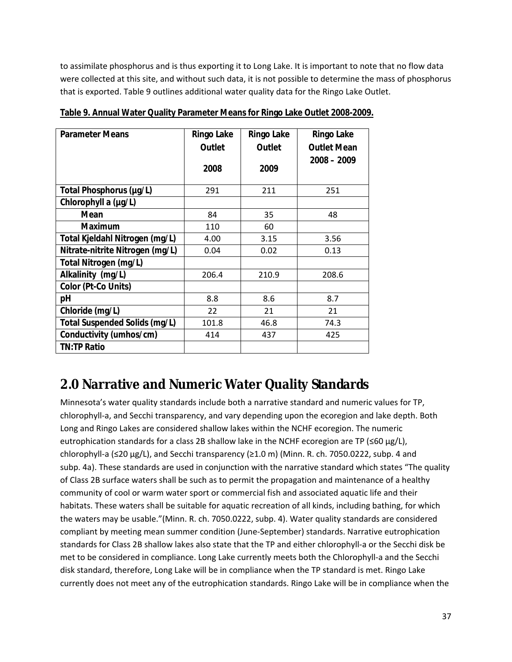<span id="page-36-0"></span>to assimilate phosphorus and is thus exporting it to Long Lake. It is important to note that no flow data were collected at this site, and without such data, it is not possible to determine the mass of phosphorus that is exported. Table 9 outlines additional water quality data for the Ringo Lake Outlet.

| <b>Parameter Means</b>               | Ringo Lake | Ringo Lake | <b>Ringo Lake</b>  |
|--------------------------------------|------------|------------|--------------------|
|                                      | Outlet     | Outlet     | <b>Outlet Mean</b> |
|                                      | 2008       | 2009       | $2008 - 2009$      |
|                                      |            |            |                    |
| Total Phosphorus (µg/L)              | 291        | 211        | 251                |
| Chlorophyll a (µg/L)                 |            |            |                    |
| Mean                                 | 84         | 35         | 48                 |
| <b>Maximum</b>                       | 110        | 60         |                    |
| Total Kjeldahl Nitrogen (mg/L)       | 4.00       | 3.15       | 3.56               |
| Nitrate-nitrite Nitrogen (mg/L)      | 0.04       | 0.02       | 0.13               |
| Total Nitrogen (mg/L)                |            |            |                    |
| Alkalinity (mg/L)                    | 206.4      | 210.9      | 208.6              |
| Color (Pt-Co Units)                  |            |            |                    |
| рH                                   | 8.8        | 8.6        | 8.7                |
| Chloride (mg/L)                      | 22         | 21         | 21                 |
| <b>Total Suspended Solids (mg/L)</b> | 101.8      | 46.8       | 74.3               |
| Conductivity (umhos/cm)              | 414        | 437        | 425                |
| <b>TN:TP Ratio</b>                   |            |            |                    |

**Table 9. Annual Water Quality Parameter Means for Ringo Lake Outlet 2008-2009.**

# **2.0 Narrative and Numeric Water Quality Standards**

Minnesota's water quality standards include both a narrative standard and numeric values for TP, chlorophyll-a, and Secchi transparency, and vary depending upon the ecoregion and lake depth. Both Long and Ringo Lakes are considered shallow lakes within the NCHF ecoregion. The numeric eutrophication standards for a class 2B shallow lake in the NCHF ecoregion are TP ( $\leq 60 \mu g/L$ ), chlorophyll-a (≤20 µg/L), and Secchi transparency (≥1.0 m) (Minn. R. ch. 7050.0222, subp. 4 and subp. 4a). These standards are used in conjunction with the narrative standard which states "The quality of Class 2B surface waters shall be such as to permit the propagation and maintenance of a healthy community of cool or warm water sport or commercial fish and associated aquatic life and their habitats. These waters shall be suitable for aquatic recreation of all kinds, including bathing, for which the waters may be usable."(Minn. R. ch. 7050.0222, subp. 4). Water quality standards are considered compliant by meeting mean summer condition (June-September) standards. Narrative eutrophication standards for Class 2B shallow lakes also state that the TP and either chlorophyll-a or the Secchi disk be met to be considered in compliance. Long Lake currently meets both the Chlorophyll-a and the Secchi disk standard, therefore, Long Lake will be in compliance when the TP standard is met. Ringo Lake currently does not meet any of the eutrophication standards. Ringo Lake will be in compliance when the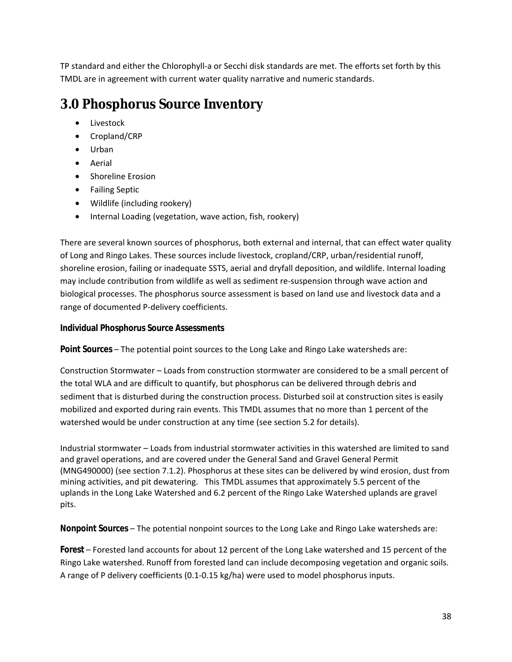<span id="page-37-0"></span>TP standard and either the Chlorophyll-a or Secchi disk standards are met. The efforts set forth by this TMDL are in agreement with current water quality narrative and numeric standards.

# **3.0 Phosphorus Source Inventory**

- Livestock
- Cropland/CRP
- Urban
- Aerial
- Shoreline Erosion
- Failing Septic
- Wildlife (including rookery)
- Internal Loading (vegetation, wave action, fish, rookery)

There are several known sources of phosphorus, both external and internal, that can effect water quality of Long and Ringo Lakes. These sources include livestock, cropland/CRP, urban/residential runoff, shoreline erosion, failing or inadequate SSTS, aerial and dryfall deposition, and wildlife. Internal loading may include contribution from wildlife as well as sediment re-suspension through wave action and biological processes. The phosphorus source assessment is based on land use and livestock data and a range of documented P-delivery coefficients.

#### **Individual Phosphorus Source Assessments**

**Point Sources** – The potential point sources to the Long Lake and Ringo Lake watersheds are:

Construction Stormwater – Loads from construction stormwater are considered to be a small percent of the total WLA and are difficult to quantify, but phosphorus can be delivered through debris and sediment that is disturbed during the construction process. Disturbed soil at construction sites is easily mobilized and exported during rain events. This TMDL assumes that no more than 1 percent of the watershed would be under construction at any time (see section 5.2 for details).

Industrial stormwater – Loads from industrial stormwater activities in this watershed are limited to sand and gravel operations, and are covered under the General Sand and Gravel General Permit (MNG490000) (see section 7.1.2). Phosphorus at these sites can be delivered by wind erosion, dust from mining activities, and pit dewatering. This TMDL assumes that approximately 5.5 percent of the uplands in the Long Lake Watershed and 6.2 percent of the Ringo Lake Watershed uplands are gravel pits.

**Nonpoint Sources** – The potential nonpoint sources to the Long Lake and Ringo Lake watersheds are:

**Forest** – Forested land accounts for about 12 percent of the Long Lake watershed and 15 percent of the Ringo Lake watershed. Runoff from forested land can include decomposing vegetation and organic soils. A range of P delivery coefficients (0.1-0.15 kg/ha) were used to model phosphorus inputs.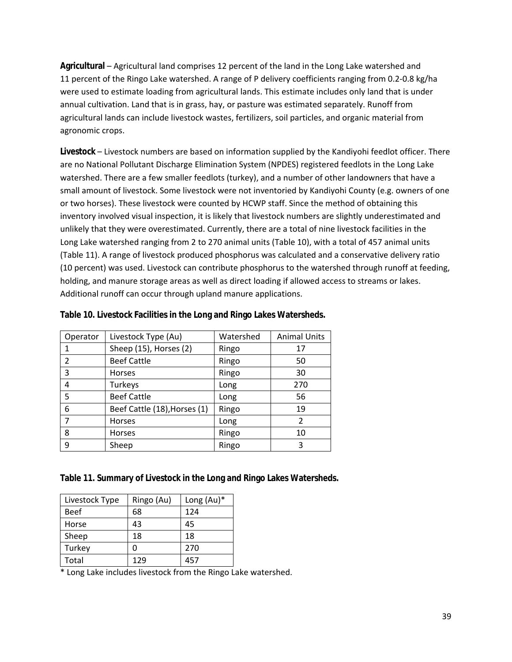<span id="page-38-0"></span>**Agricultural** – Agricultural land comprises 12 percent of the land in the Long Lake watershed and 11 percent of the Ringo Lake watershed. A range of P delivery coefficients ranging from 0.2-0.8 kg/ha were used to estimate loading from agricultural lands. This estimate includes only land that is under annual cultivation. Land that is in grass, hay, or pasture was estimated separately. Runoff from agricultural lands can include livestock wastes, fertilizers, soil particles, and organic material from agronomic crops.

**Livestock** – Livestock numbers are based on information supplied by the Kandiyohi feedlot officer. There are no National Pollutant Discharge Elimination System (NPDES) registered feedlots in the Long Lake watershed. There are a few smaller feedlots (turkey), and a number of other landowners that have a small amount of livestock. Some livestock were not inventoried by Kandiyohi County (e.g. owners of one or two horses). These livestock were counted by HCWP staff. Since the method of obtaining this inventory involved visual inspection, it is likely that livestock numbers are slightly underestimated and unlikely that they were overestimated. Currently, there are a total of nine livestock facilities in the Long Lake watershed ranging from 2 to 270 animal units (Table 10), with a total of 457 animal units (Table 11). A range of livestock produced phosphorus was calculated and a conservative delivery ratio (10 percent) was used. Livestock can contribute phosphorus to the watershed through runoff at feeding, holding, and manure storage areas as well as direct loading if allowed access to streams or lakes. Additional runoff can occur through upland manure applications.

| Operator       | Livestock Type (Au)          | Watershed | <b>Animal Units</b> |
|----------------|------------------------------|-----------|---------------------|
|                | Sheep (15), Horses (2)       | Ringo     | 17                  |
| $\overline{2}$ | <b>Beef Cattle</b>           | Ringo     | 50                  |
| 3              | <b>Horses</b>                | Ringo     | 30                  |
| 4              | Turkeys                      | Long      | 270                 |
| 5              | <b>Beef Cattle</b>           | Long      | 56                  |
| 6              | Beef Cattle (18), Horses (1) | Ringo     | 19                  |
|                | <b>Horses</b>                | Long      | 2                   |
| 8              | <b>Horses</b>                | Ringo     | 10                  |
| 9              | Sheep                        | Ringo     | 3                   |

#### **Table 10. Livestock Facilities in the Long and Ringo Lakes Watersheds.**

#### **Table 11. Summary of Livestock in the Long and Ringo Lakes Watersheds.**

| Livestock Type | Ringo (Au) | Long $(Au)^*$ |
|----------------|------------|---------------|
| <b>Beef</b>    | 68         | 124           |
| Horse          | 43         | 45            |
| Sheep          | 18         | 18            |
| Turkey         | ი          | 270           |
| Total          | 129        | 457           |

\* Long Lake includes livestock from the Ringo Lake watershed.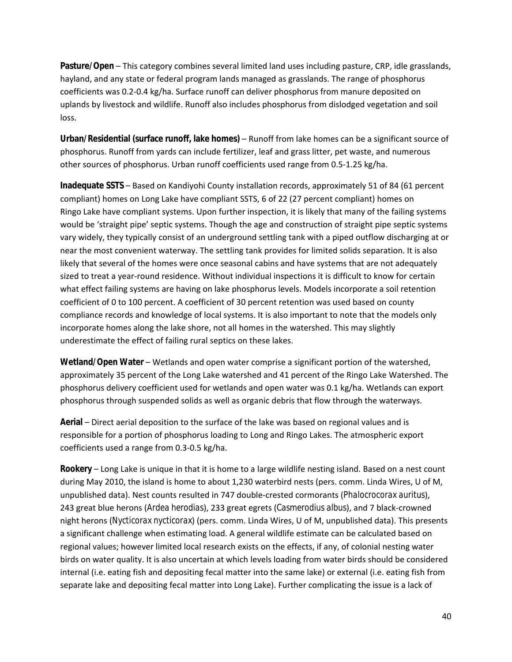**Pasture/Open** – This category combines several limited land uses including pasture, CRP, idle grasslands, hayland, and any state or federal program lands managed as grasslands. The range of phosphorus coefficients was 0.2-0.4 kg/ha. Surface runoff can deliver phosphorus from manure deposited on uplands by livestock and wildlife. Runoff also includes phosphorus from dislodged vegetation and soil loss.

**Urban/Residential (surface runoff, lake homes)** – Runoff from lake homes can be a significant source of phosphorus. Runoff from yards can include fertilizer, leaf and grass litter, pet waste, and numerous other sources of phosphorus. Urban runoff coefficients used range from 0.5-1.25 kg/ha.

**Inadequate SSTS** – Based on Kandiyohi County installation records, approximately 51 of 84 (61 percent compliant) homes on Long Lake have compliant SSTS, 6 of 22 (27 percent compliant) homes on Ringo Lake have compliant systems. Upon further inspection, it is likely that many of the failing systems would be 'straight pipe' septic systems. Though the age and construction of straight pipe septic systems vary widely, they typically consist of an underground settling tank with a piped outflow discharging at or near the most convenient waterway. The settling tank provides for limited solids separation. It is also likely that several of the homes were once seasonal cabins and have systems that are not adequately sized to treat a year-round residence. Without individual inspections it is difficult to know for certain what effect failing systems are having on lake phosphorus levels. Models incorporate a soil retention coefficient of 0 to 100 percent. A coefficient of 30 percent retention was used based on county compliance records and knowledge of local systems. It is also important to note that the models only incorporate homes along the lake shore, not all homes in the watershed. This may slightly underestimate the effect of failing rural septics on these lakes.

Wetland/Open Water – Wetlands and open water comprise a significant portion of the watershed, approximately 35 percent of the Long Lake watershed and 41 percent of the Ringo Lake Watershed. The phosphorus delivery coefficient used for wetlands and open water was 0.1 kg/ha. Wetlands can export phosphorus through suspended solids as well as organic debris that flow through the waterways.

**Aerial** – Direct aerial deposition to the surface of the lake was based on regional values and is responsible for a portion of phosphorus loading to Long and Ringo Lakes. The atmospheric export coefficients used a range from 0.3-0.5 kg/ha.

**Rookery** – Long Lake is unique in that it is home to a large wildlife nesting island. Based on a nest count during May 2010, the island is home to about 1,230 waterbird nests (pers. comm. Linda Wires, U of M, unpublished data). Nest counts resulted in 747 double-crested cormorants (*Phalocrocorax auritus*), 243 great blue herons (*Ardea herodias*), 233 great egrets (*Casmerodius albus*), and 7 black-crowned night herons (*Nycticorax nycticorax*) (pers. comm. Linda Wires, U of M, unpublished data). This presents a significant challenge when estimating load. A general wildlife estimate can be calculated based on regional values; however limited local research exists on the effects, if any, of colonial nesting water birds on water quality. It is also uncertain at which levels loading from water birds should be considered internal (i.e. eating fish and depositing fecal matter into the same lake) or external (i.e. eating fish from separate lake and depositing fecal matter into Long Lake). Further complicating the issue is a lack of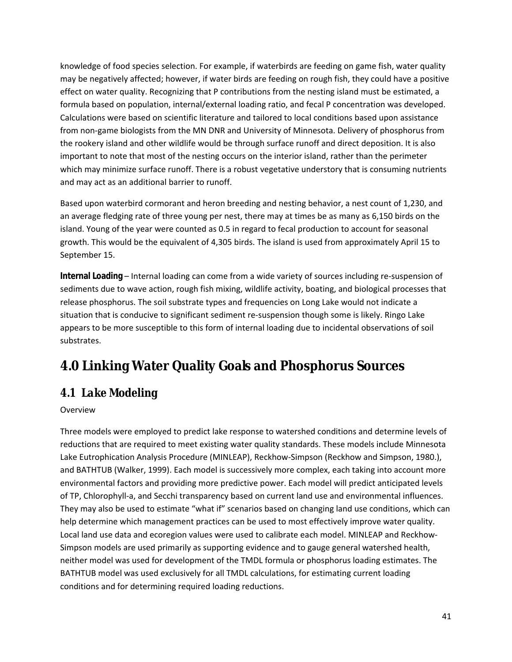<span id="page-40-0"></span>knowledge of food species selection. For example, if waterbirds are feeding on game fish, water quality may be negatively affected; however, if water birds are feeding on rough fish, they could have a positive effect on water quality. Recognizing that P contributions from the nesting island must be estimated, a formula based on population, internal/external loading ratio, and fecal P concentration was developed. Calculations were based on scientific literature and tailored to local conditions based upon assistance from non-game biologists from the MN DNR and University of Minnesota. Delivery of phosphorus from the rookery island and other wildlife would be through surface runoff and direct deposition. It is also important to note that most of the nesting occurs on the interior island, rather than the perimeter which may minimize surface runoff. There is a robust vegetative understory that is consuming nutrients and may act as an additional barrier to runoff.

Based upon waterbird cormorant and heron breeding and nesting behavior, a nest count of 1,230, and an average fledging rate of three young per nest, there may at times be as many as 6,150 birds on the island. Young of the year were counted as 0.5 in regard to fecal production to account for seasonal growth. This would be the equivalent of 4,305 birds. The island is used from approximately April 15 to September 15.

**Internal Loading** – Internal loading can come from a wide variety of sources including re-suspension of sediments due to wave action, rough fish mixing, wildlife activity, boating, and biological processes that release phosphorus. The soil substrate types and frequencies on Long Lake would not indicate a situation that is conducive to significant sediment re-suspension though some is likely. Ringo Lake appears to be more susceptible to this form of internal loading due to incidental observations of soil substrates.

# **4.0 Linking Water Quality Goals and Phosphorus Sources**

# *4.1 Lake Modeling*

#### Overview

Three models were employed to predict lake response to watershed conditions and determine levels of reductions that are required to meet existing water quality standards. These models include Minnesota Lake Eutrophication Analysis Procedure (MINLEAP), Reckhow-Simpson (Reckhow and Simpson, 1980.), and BATHTUB (Walker, 1999). Each model is successively more complex, each taking into account more environmental factors and providing more predictive power. Each model will predict anticipated levels of TP, Chlorophyll-a, and Secchi transparency based on current land use and environmental influences. They may also be used to estimate "what if" scenarios based on changing land use conditions, which can help determine which management practices can be used to most effectively improve water quality. Local land use data and ecoregion values were used to calibrate each model. MINLEAP and Reckhow-Simpson models are used primarily as supporting evidence and to gauge general watershed health, neither model was used for development of the TMDL formula or phosphorus loading estimates. The BATHTUB model was used exclusively for all TMDL calculations, for estimating current loading conditions and for determining required loading reductions.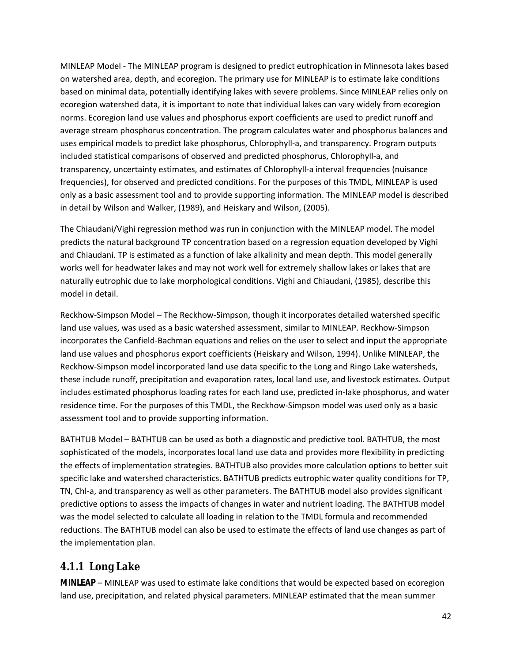<span id="page-41-0"></span>MINLEAP Model - The MINLEAP program is designed to predict eutrophication in Minnesota lakes based on watershed area, depth, and ecoregion. The primary use for MINLEAP is to estimate lake conditions based on minimal data, potentially identifying lakes with severe problems. Since MINLEAP relies only on ecoregion watershed data, it is important to note that individual lakes can vary widely from ecoregion norms. Ecoregion land use values and phosphorus export coefficients are used to predict runoff and average stream phosphorus concentration. The program calculates water and phosphorus balances and uses empirical models to predict lake phosphorus, Chlorophyll-a, and transparency. Program outputs included statistical comparisons of observed and predicted phosphorus, Chlorophyll-a, and transparency, uncertainty estimates, and estimates of Chlorophyll-a interval frequencies (nuisance frequencies), for observed and predicted conditions. For the purposes of this TMDL, MINLEAP is used only as a basic assessment tool and to provide supporting information. The MINLEAP model is described in detail by Wilson and Walker, (1989), and Heiskary and Wilson, (2005).

The Chiaudani/Vighi regression method was run in conjunction with the MINLEAP model. The model predicts the natural background TP concentration based on a regression equation developed by Vighi and Chiaudani. TP is estimated as a function of lake alkalinity and mean depth. This model generally works well for headwater lakes and may not work well for extremely shallow lakes or lakes that are naturally eutrophic due to lake morphological conditions. Vighi and Chiaudani, (1985), describe this model in detail.

Reckhow-Simpson Model – The Reckhow-Simpson, though it incorporates detailed watershed specific land use values, was used as a basic watershed assessment, similar to MINLEAP. Reckhow-Simpson incorporates the Canfield-Bachman equations and relies on the user to select and input the appropriate land use values and phosphorus export coefficients (Heiskary and Wilson, 1994). Unlike MINLEAP, the Reckhow-Simpson model incorporated land use data specific to the Long and Ringo Lake watersheds, these include runoff, precipitation and evaporation rates, local land use, and livestock estimates. Output includes estimated phosphorus loading rates for each land use, predicted in-lake phosphorus, and water residence time. For the purposes of this TMDL, the Reckhow-Simpson model was used only as a basic assessment tool and to provide supporting information.

BATHTUB Model – BATHTUB can be used as both a diagnostic and predictive tool. BATHTUB, the most sophisticated of the models, incorporates local land use data and provides more flexibility in predicting the effects of implementation strategies. BATHTUB also provides more calculation options to better suit specific lake and watershed characteristics. BATHTUB predicts eutrophic water quality conditions for TP, TN, Chl-a, and transparency as well as other parameters. The BATHTUB model also provides significant predictive options to assess the impacts of changes in water and nutrient loading. The BATHTUB model was the model selected to calculate all loading in relation to the TMDL formula and recommended reductions. The BATHTUB model can also be used to estimate the effects of land use changes as part of the implementation plan.

### **4.1.1 Long Lake**

**MINLEAP** – MINLEAP was used to estimate lake conditions that would be expected based on ecoregion land use, precipitation, and related physical parameters. MINLEAP estimated that the mean summer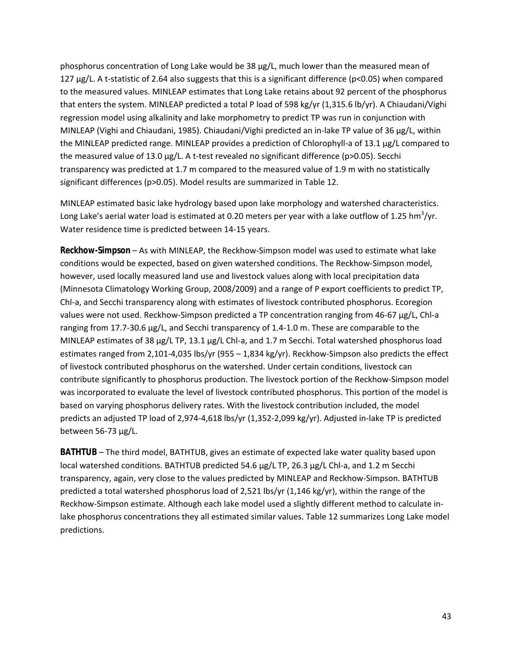phosphorus concentration of Long Lake would be 38 µg/L, much lower than the measured mean of 127 µg/L. A t-statistic of 2.64 also suggests that this is a significant difference (p<0.05) when compared to the measured values. MINLEAP estimates that Long Lake retains about 92 percent of the phosphorus that enters the system. MINLEAP predicted a total P load of 598 kg/yr (1,315.6 lb/yr). A Chiaudani/Vighi regression model using alkalinity and lake morphometry to predict TP was run in conjunction with MINLEAP (Vighi and Chiaudani, 1985). Chiaudani/Vighi predicted an in-lake TP value of 36 µg/L, within the MINLEAP predicted range. MINLEAP provides a prediction of Chlorophyll-a of 13.1 µg/L compared to the measured value of 13.0 µg/L. A t-test revealed no significant difference (p>0.05). Secchi transparency was predicted at 1.7 m compared to the measured value of 1.9 m with no statistically significant differences (p>0.05). Model results are summarized in Table 12.

MINLEAP estimated basic lake hydrology based upon lake morphology and watershed characteristics. Long Lake's aerial water load is estimated at 0.20 meters per year with a lake outflow of 1.25 hm<sup>3</sup>/yr. Water residence time is predicted between 14-15 years.

**Reckhow-Simpson** – As with MINLEAP, the Reckhow-Simpson model was used to estimate what lake conditions would be expected, based on given watershed conditions. The Reckhow-Simpson model, however, used locally measured land use and livestock values along with local precipitation data (Minnesota Climatology Working Group, 2008/2009) and a range of P export coefficients to predict TP, Chl-a, and Secchi transparency along with estimates of livestock contributed phosphorus. Ecoregion values were not used. Reckhow-Simpson predicted a TP concentration ranging from 46-67 µg/L, Chl-a ranging from 17.7-30.6 µg/L, and Secchi transparency of 1.4-1.0 m. These are comparable to the MINLEAP estimates of 38  $\mu$ g/L TP, 13.1  $\mu$ g/L Chl-a, and 1.7 m Secchi. Total watershed phosphorus load estimates ranged from 2,101-4,035 lbs/yr (955 – 1,834 kg/yr). Reckhow-Simpson also predicts the effect of livestock contributed phosphorus on the watershed. Under certain conditions, livestock can contribute significantly to phosphorus production. The livestock portion of the Reckhow-Simpson model was incorporated to evaluate the level of livestock contributed phosphorus. This portion of the model is based on varying phosphorus delivery rates. With the livestock contribution included, the model predicts an adjusted TP load of 2,974-4,618 lbs/yr (1,352-2,099 kg/yr). Adjusted in-lake TP is predicted between 56-73 µg/L.

**BATHTUB** – The third model, BATHTUB, gives an estimate of expected lake water quality based upon local watershed conditions. BATHTUB predicted 54.6 µg/L TP, 26.3 µg/L Chl-a, and 1.2 m Secchi transparency, again, very close to the values predicted by MINLEAP and Reckhow-Simpson. BATHTUB predicted a total watershed phosphorus load of 2,521 lbs/yr (1,146 kg/yr), within the range of the Reckhow-Simpson estimate. Although each lake model used a slightly different method to calculate inlake phosphorus concentrations they all estimated similar values. Table 12 summarizes Long Lake model predictions.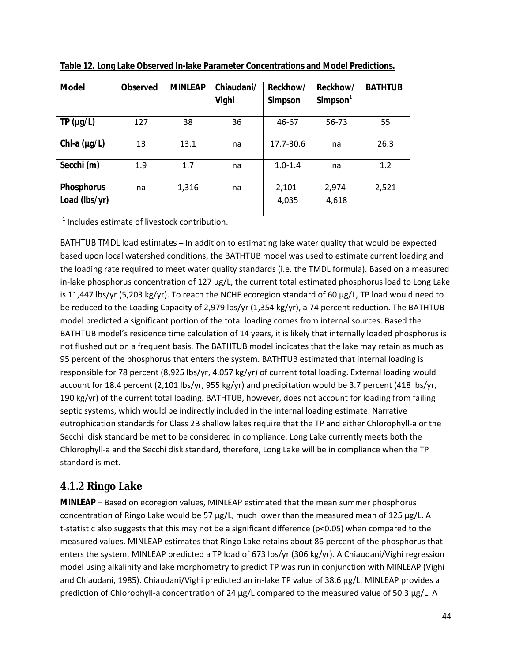| <b>Model</b>                       | <b>Observed</b> | <b>MINLEAP</b> | Chiaudani/<br>Vighi | Reckhow/<br>Simpson | Reckhow/<br>Simpson <sup>1</sup> | <b>BATHTUB</b> |
|------------------------------------|-----------------|----------------|---------------------|---------------------|----------------------------------|----------------|
| TP (µg/L)                          | 127             | 38             | 36                  | 46-67               | 56-73                            | 55             |
| Chl-a $(\mu g/L)$                  | 13              | 13.1           | na                  | 17.7-30.6           | na                               | 26.3           |
| Secchi (m)                         | 1.9             | 1.7            | na                  | $1.0 - 1.4$         | na                               | 1.2            |
| <b>Phosphorus</b><br>Load (lbs/yr) | na              | 1,316          | na                  | $2,101 -$<br>4,035  | 2,974-<br>4,618                  | 2,521          |

<span id="page-43-0"></span>**Table 12. Long Lake Observed In-lake Parameter Concentrations and Model Predictions.**

<sup>1</sup> Includes estimate of livestock contribution.

*BATHTUB TMDL load estimates* – In addition to estimating lake water quality that would be expected based upon local watershed conditions, the BATHTUB model was used to estimate current loading and the loading rate required to meet water quality standards (i.e. the TMDL formula). Based on a measured in-lake phosphorus concentration of 127 µg/L, the current total estimated phosphorus load to Long Lake is 11,447 lbs/yr (5,203 kg/yr). To reach the NCHF ecoregion standard of 60  $\mu$ g/L, TP load would need to be reduced to the Loading Capacity of 2,979 lbs/yr (1,354 kg/yr), a 74 percent reduction. The BATHTUB model predicted a significant portion of the total loading comes from internal sources. Based the BATHTUB model's residence time calculation of 14 years, it is likely that internally loaded phosphorus is not flushed out on a frequent basis. The BATHTUB model indicates that the lake may retain as much as 95 percent of the phosphorus that enters the system. BATHTUB estimated that internal loading is responsible for 78 percent (8,925 lbs/yr, 4,057 kg/yr) of current total loading. External loading would account for 18.4 percent (2,101 lbs/yr, 955 kg/yr) and precipitation would be 3.7 percent (418 lbs/yr, 190 kg/yr) of the current total loading. BATHTUB, however, does not account for loading from failing septic systems, which would be indirectly included in the internal loading estimate. Narrative eutrophication standards for Class 2B shallow lakes require that the TP and either Chlorophyll-a or the Secchi disk standard be met to be considered in compliance. Long Lake currently meets both the Chlorophyll-a and the Secchi disk standard, therefore, Long Lake will be in compliance when the TP standard is met.

### **4.1.2 Ringo Lake**

**MINLEAP** – Based on ecoregion values, MINLEAP estimated that the mean summer phosphorus concentration of Ringo Lake would be 57  $\mu$ g/L, much lower than the measured mean of 125  $\mu$ g/L. A t-statistic also suggests that this may not be a significant difference (p<0.05) when compared to the measured values. MINLEAP estimates that Ringo Lake retains about 86 percent of the phosphorus that enters the system. MINLEAP predicted a TP load of 673 lbs/yr (306 kg/yr). A Chiaudani/Vighi regression model using alkalinity and lake morphometry to predict TP was run in conjunction with MINLEAP (Vighi and Chiaudani, 1985). Chiaudani/Vighi predicted an in-lake TP value of 38.6 µg/L. MINLEAP provides a prediction of Chlorophyll-a concentration of 24 µg/L compared to the measured value of 50.3 µg/L. A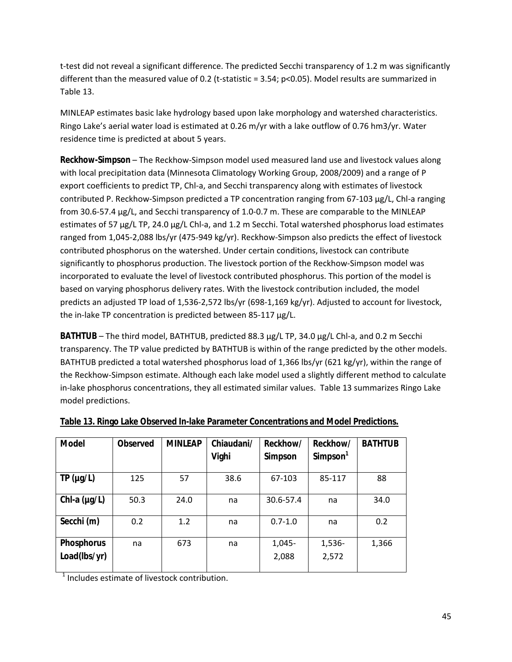<span id="page-44-0"></span>t-test did not reveal a significant difference. The predicted Secchi transparency of 1.2 m was significantly different than the measured value of 0.2 (t-statistic = 3.54; p<0.05). Model results are summarized in Table 13.

MINLEAP estimates basic lake hydrology based upon lake morphology and watershed characteristics. Ringo Lake's aerial water load is estimated at 0.26 m/yr with a lake outflow of 0.76 hm3/yr. Water residence time is predicted at about 5 years.

**Reckhow-Simpson** – The Reckhow-Simpson model used measured land use and livestock values along with local precipitation data (Minnesota Climatology Working Group, 2008/2009) and a range of P export coefficients to predict TP, Chl-a, and Secchi transparency along with estimates of livestock contributed P. Reckhow-Simpson predicted a TP concentration ranging from 67-103 µg/L, Chl-a ranging from 30.6-57.4 µg/L, and Secchi transparency of 1.0-0.7 m. These are comparable to the MINLEAP estimates of 57 µg/L TP, 24.0 µg/L Chl-a, and 1.2 m Secchi. Total watershed phosphorus load estimates ranged from 1,045-2,088 lbs/yr (475-949 kg/yr). Reckhow-Simpson also predicts the effect of livestock contributed phosphorus on the watershed. Under certain conditions, livestock can contribute significantly to phosphorus production. The livestock portion of the Reckhow-Simpson model was incorporated to evaluate the level of livestock contributed phosphorus. This portion of the model is based on varying phosphorus delivery rates. With the livestock contribution included, the model predicts an adjusted TP load of 1,536-2,572 lbs/yr (698-1,169 kg/yr). Adjusted to account for livestock, the in-lake TP concentration is predicted between 85-117 µg/L.

**BATHTUB** – The third model, BATHTUB, predicted 88.3 µg/L TP, 34.0 µg/L Chl-a, and 0.2 m Secchi transparency. The TP value predicted by BATHTUB is within of the range predicted by the other models. BATHTUB predicted a total watershed phosphorus load of 1,366 lbs/yr (621 kg/yr), within the range of the Reckhow-Simpson estimate. Although each lake model used a slightly different method to calculate in-lake phosphorus concentrations, they all estimated similar values. Table 13 summarizes Ringo Lake model predictions.

| <b>Model</b>      | <b>Observed</b> | <b>MINLEAP</b> | Chiaudani/<br>Vighi | Reckhow/<br>Simpson | Reckhow/<br>Simpson <sup>1</sup> | <b>BATHTUB</b> |
|-------------------|-----------------|----------------|---------------------|---------------------|----------------------------------|----------------|
| TP (µg/L)         | 125             | 57             | 38.6                | 67-103              | 85-117                           | 88             |
| Chl-a $(\mu g/L)$ | 50.3            | 24.0           | na                  | 30.6-57.4           | na                               | 34.0           |
| Secchi (m)        | 0.2             | 1.2            | na                  | $0.7 - 1.0$         | na                               | 0.2            |
| <b>Phosphorus</b> | na              | 673            | na                  | 1,045-              | 1,536-                           | 1,366          |
| Load(lbs/yr)      |                 |                |                     | 2,088               | 2,572                            |                |

#### **Table 13. Ringo Lake Observed In-lake Parameter Concentrations and Model Predictions.**

<sup>1</sup> Includes estimate of livestock contribution.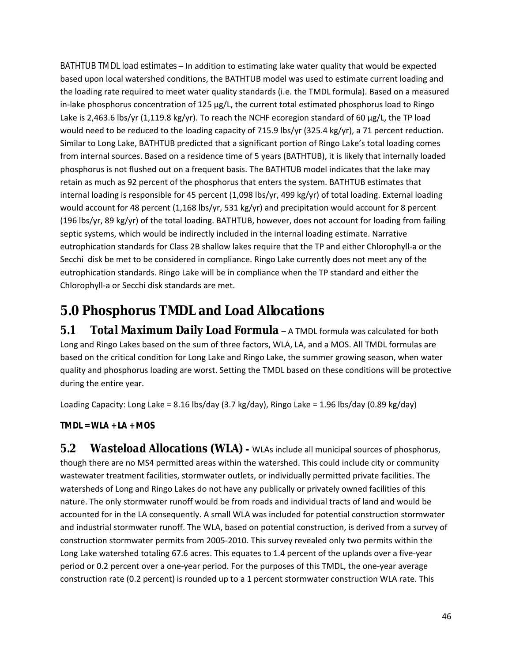<span id="page-45-0"></span>*BATHTUB TMDL load estimates* – In addition to estimating lake water quality that would be expected based upon local watershed conditions, the BATHTUB model was used to estimate current loading and the loading rate required to meet water quality standards (i.e. the TMDL formula). Based on a measured in-lake phosphorus concentration of 125 µg/L, the current total estimated phosphorus load to Ringo Lake is 2,463.6 lbs/yr (1,119.8 kg/yr). To reach the NCHF ecoregion standard of 60 µg/L, the TP load would need to be reduced to the loading capacity of 715.9 lbs/yr (325.4 kg/yr), a 71 percent reduction. Similar to Long Lake, BATHTUB predicted that a significant portion of Ringo Lake's total loading comes from internal sources. Based on a residence time of 5 years (BATHTUB), it is likely that internally loaded phosphorus is not flushed out on a frequent basis. The BATHTUB model indicates that the lake may retain as much as 92 percent of the phosphorus that enters the system. BATHTUB estimates that internal loading is responsible for 45 percent (1,098 lbs/yr, 499 kg/yr) of total loading. External loading would account for 48 percent (1,168 lbs/yr, 531 kg/yr) and precipitation would account for 8 percent (196 lbs/yr, 89 kg/yr) of the total loading. BATHTUB, however, does not account for loading from failing septic systems, which would be indirectly included in the internal loading estimate. Narrative eutrophication standards for Class 2B shallow lakes require that the TP and either Chlorophyll-a or the Secchi disk be met to be considered in compliance. Ringo Lake currently does not meet any of the eutrophication standards. Ringo Lake will be in compliance when the TP standard and either the Chlorophyll-a or Secchi disk standards are met.

# **5.0 Phosphorus TMDL and Load Allocations**

*5.1 Total Maximum Daily Load Formula* – A TMDL formula was calculated for both Long and Ringo Lakes based on the sum of three factors, WLA, LA, and a MOS. All TMDL formulas are based on the critical condition for Long Lake and Ringo Lake, the summer growing season, when water quality and phosphorus loading are worst. Setting the TMDL based on these conditions will be protective during the entire year.

Loading Capacity: Long Lake = 8.16 lbs/day (3.7 kg/day), Ringo Lake = 1.96 lbs/day (0.89 kg/day)

**TMDL = WLA + LA + MOS** 

**5.2 Wasteload Allocations (WLA)** – WLAs include all municipal sources of phosphorus, though there are no MS4 permitted areas within the watershed. This could include city or community wastewater treatment facilities, stormwater outlets, or individually permitted private facilities. The watersheds of Long and Ringo Lakes do not have any publically or privately owned facilities of this nature. The only stormwater runoff would be from roads and individual tracts of land and would be accounted for in the LA consequently. A small WLA was included for potential construction stormwater and industrial stormwater runoff. The WLA, based on potential construction, is derived from a survey of construction stormwater permits from 2005-2010. This survey revealed only two permits within the Long Lake watershed totaling 67.6 acres. This equates to 1.4 percent of the uplands over a five-year period or 0.2 percent over a one-year period. For the purposes of this TMDL, the one-year average construction rate (0.2 percent) is rounded up to a 1 percent stormwater construction WLA rate. This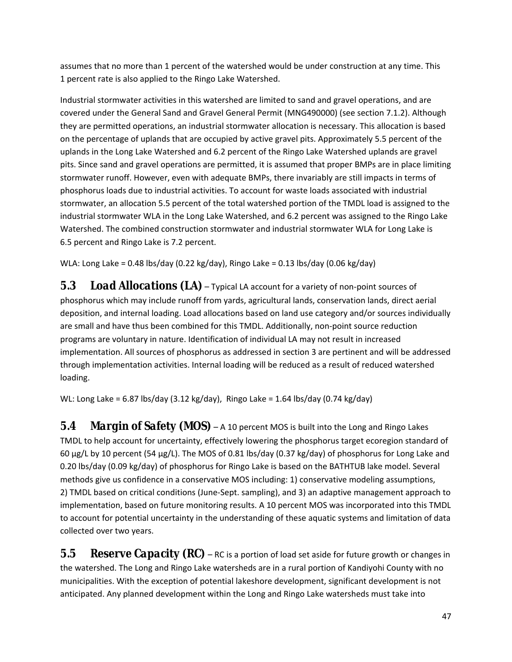<span id="page-46-0"></span>assumes that no more than 1 percent of the watershed would be under construction at any time. This 1 percent rate is also applied to the Ringo Lake Watershed.

Industrial stormwater activities in this watershed are limited to sand and gravel operations, and are covered under the General Sand and Gravel General Permit (MNG490000) (see section 7.1.2). Although they are permitted operations, an industrial stormwater allocation is necessary. This allocation is based on the percentage of uplands that are occupied by active gravel pits. Approximately 5.5 percent of the uplands in the Long Lake Watershed and 6.2 percent of the Ringo Lake Watershed uplands are gravel pits. Since sand and gravel operations are permitted, it is assumed that proper BMPs are in place limiting stormwater runoff. However, even with adequate BMPs, there invariably are still impacts in terms of phosphorus loads due to industrial activities. To account for waste loads associated with industrial stormwater, an allocation 5.5 percent of the total watershed portion of the TMDL load is assigned to the industrial stormwater WLA in the Long Lake Watershed, and 6.2 percent was assigned to the Ringo Lake Watershed. The combined construction stormwater and industrial stormwater WLA for Long Lake is 6.5 percent and Ringo Lake is 7.2 percent.

WLA: Long Lake = 0.48 lbs/day (0.22 kg/day), Ringo Lake = 0.13 lbs/day (0.06 kg/day)

*5.3 Load Allocations (LA)* – Typical LA account for a variety of non-point sources of phosphorus which may include runoff from yards, agricultural lands, conservation lands, direct aerial deposition, and internal loading. Load allocations based on land use category and/or sources individually are small and have thus been combined for this TMDL. Additionally, non-point source reduction programs are voluntary in nature. Identification of individual LA may not result in increased implementation. All sources of phosphorus as addressed in section 3 are pertinent and will be addressed through implementation activities. Internal loading will be reduced as a result of reduced watershed loading.

WL: Long Lake = 6.87 lbs/day (3.12 kg/day), Ringo Lake = 1.64 lbs/day (0.74 kg/day)

*5.4 Margin of Safety (MOS)* – A 10 percent MOS is built into the Long and Ringo Lakes TMDL to help account for uncertainty, effectively lowering the phosphorus target ecoregion standard of 60 µg/L by 10 percent (54 µg/L). The MOS of 0.81 lbs/day (0.37 kg/day) of phosphorus for Long Lake and 0.20 lbs/day (0.09 kg/day) of phosphorus for Ringo Lake is based on the BATHTUB lake model. Several methods give us confidence in a conservative MOS including: 1) conservative modeling assumptions, 2) TMDL based on critical conditions (June-Sept. sampling), and 3) an adaptive management approach to implementation, based on future monitoring results. A 10 percent MOS was incorporated into this TMDL to account for potential uncertainty in the understanding of these aquatic systems and limitation of data collected over two years.

5.5 Reserve Capacity (RC) – RC is a portion of load set aside for future growth or changes in the watershed. The Long and Ringo Lake watersheds are in a rural portion of Kandiyohi County with no municipalities. With the exception of potential lakeshore development, significant development is not anticipated. Any planned development within the Long and Ringo Lake watersheds must take into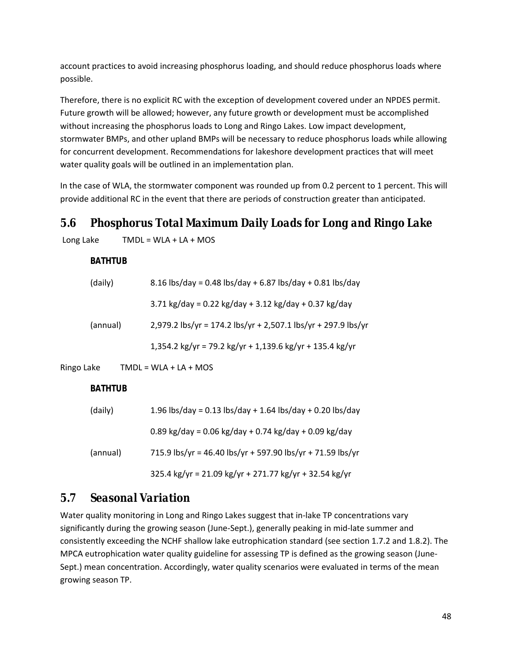<span id="page-47-0"></span>account practices to avoid increasing phosphorus loading, and should reduce phosphorus loads where possible.

Therefore, there is no explicit RC with the exception of development covered under an NPDES permit. Future growth will be allowed; however, any future growth or development must be accomplished without increasing the phosphorus loads to Long and Ringo Lakes. Low impact development, stormwater BMPs, and other upland BMPs will be necessary to reduce phosphorus loads while allowing for concurrent development. Recommendations for lakeshore development practices that will meet water quality goals will be outlined in an implementation plan.

In the case of WLA, the stormwater component was rounded up from 0.2 percent to 1 percent. This will provide additional RC in the event that there are periods of construction greater than anticipated.

### *5.6 Phosphorus Total Maximum Daily Loads for Long and Ringo Lake*

Long Lake  $TMDL = WLA + LA + MOS$ 

#### **BATHTUB**

| (daily)  | 8.16 lbs/day = 0.48 lbs/day + 6.87 lbs/day + 0.81 lbs/day     |  |  |  |
|----------|---------------------------------------------------------------|--|--|--|
|          | 3.71 kg/day = 0.22 kg/day + 3.12 kg/day + 0.37 kg/day         |  |  |  |
| (annual) | 2,979.2 lbs/yr = 174.2 lbs/yr + 2,507.1 lbs/yr + 297.9 lbs/yr |  |  |  |
|          | 1,354.2 kg/yr = 79.2 kg/yr + 1,139.6 kg/yr + 135.4 kg/yr      |  |  |  |

Ringo Lake  $TMDL = WLA + LA + MOS$ 

#### **BATHTUB**

| (daily)  | 1.96 lbs/day = 0.13 lbs/day + 1.64 lbs/day + 0.20 lbs/day  |  |  |  |
|----------|------------------------------------------------------------|--|--|--|
|          | 0.89 kg/day = 0.06 kg/day + 0.74 kg/day + 0.09 kg/day      |  |  |  |
| (annual) | 715.9 lbs/yr = 46.40 lbs/yr + 597.90 lbs/yr + 71.59 lbs/yr |  |  |  |
|          | 325.4 kg/yr = 21.09 kg/yr + 271.77 kg/yr + 32.54 kg/yr     |  |  |  |

### *5.7 Seasonal Variation*

Water quality monitoring in Long and Ringo Lakes suggest that in-lake TP concentrations vary significantly during the growing season (June-Sept.), generally peaking in mid-late summer and consistently exceeding the NCHF shallow lake eutrophication standard (see section 1.7.2 and 1.8.2). The MPCA eutrophication water quality guideline for assessing TP is defined as the growing season (June-Sept.) mean concentration. Accordingly, water quality scenarios were evaluated in terms of the mean growing season TP.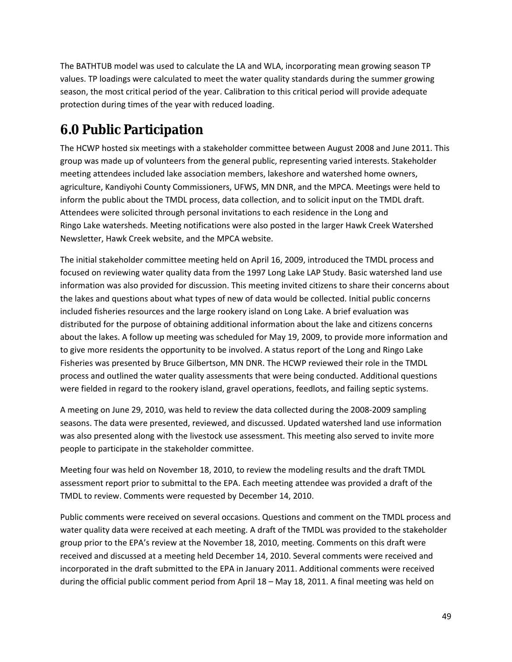<span id="page-48-0"></span>The BATHTUB model was used to calculate the LA and WLA, incorporating mean growing season TP values. TP loadings were calculated to meet the water quality standards during the summer growing season, the most critical period of the year. Calibration to this critical period will provide adequate protection during times of the year with reduced loading.

# **6.0 Public Participation**

The HCWP hosted six meetings with a stakeholder committee between August 2008 and June 2011. This group was made up of volunteers from the general public, representing varied interests. Stakeholder meeting attendees included lake association members, lakeshore and watershed home owners, agriculture, Kandiyohi County Commissioners, UFWS, MN DNR, and the MPCA. Meetings were held to inform the public about the TMDL process, data collection, and to solicit input on the TMDL draft. Attendees were solicited through personal invitations to each residence in the Long and Ringo Lake watersheds. Meeting notifications were also posted in the larger Hawk Creek Watershed Newsletter, Hawk Creek website, and the MPCA website.

The initial stakeholder committee meeting held on April 16, 2009, introduced the TMDL process and focused on reviewing water quality data from the 1997 Long Lake LAP Study. Basic watershed land use information was also provided for discussion. This meeting invited citizens to share their concerns about the lakes and questions about what types of new of data would be collected. Initial public concerns included fisheries resources and the large rookery island on Long Lake. A brief evaluation was distributed for the purpose of obtaining additional information about the lake and citizens concerns about the lakes. A follow up meeting was scheduled for May 19, 2009, to provide more information and to give more residents the opportunity to be involved. A status report of the Long and Ringo Lake Fisheries was presented by Bruce Gilbertson, MN DNR. The HCWP reviewed their role in the TMDL process and outlined the water quality assessments that were being conducted. Additional questions were fielded in regard to the rookery island, gravel operations, feedlots, and failing septic systems.

A meeting on June 29, 2010, was held to review the data collected during the 2008-2009 sampling seasons. The data were presented, reviewed, and discussed. Updated watershed land use information was also presented along with the livestock use assessment. This meeting also served to invite more people to participate in the stakeholder committee.

Meeting four was held on November 18, 2010, to review the modeling results and the draft TMDL assessment report prior to submittal to the EPA. Each meeting attendee was provided a draft of the TMDL to review. Comments were requested by December 14, 2010.

Public comments were received on several occasions. Questions and comment on the TMDL process and water quality data were received at each meeting. A draft of the TMDL was provided to the stakeholder group prior to the EPA's review at the November 18, 2010, meeting. Comments on this draft were received and discussed at a meeting held December 14, 2010. Several comments were received and incorporated in the draft submitted to the EPA in January 2011. Additional comments were received during the official public comment period from April 18 – May 18, 2011. A final meeting was held on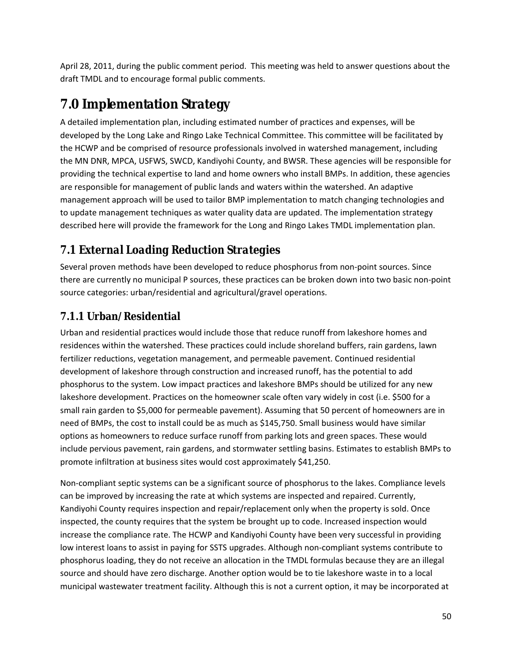<span id="page-49-0"></span>April 28, 2011, during the public comment period. This meeting was held to answer questions about the draft TMDL and to encourage formal public comments.

# **7.0 Implementation Strategy**

A detailed implementation plan, including estimated number of practices and expenses, will be developed by the Long Lake and Ringo Lake Technical Committee. This committee will be facilitated by the HCWP and be comprised of resource professionals involved in watershed management, including the MN DNR, MPCA, USFWS, SWCD, Kandiyohi County, and BWSR. These agencies will be responsible for providing the technical expertise to land and home owners who install BMPs. In addition, these agencies are responsible for management of public lands and waters within the watershed. An adaptive management approach will be used to tailor BMP implementation to match changing technologies and to update management techniques as water quality data are updated. The implementation strategy described here will provide the framework for the Long and Ringo Lakes TMDL implementation plan.

# *7.1 External Loading Reduction Strategies*

Several proven methods have been developed to reduce phosphorus from non-point sources. Since there are currently no municipal P sources, these practices can be broken down into two basic non-point source categories: urban/residential and agricultural/gravel operations.

# **7.1.1 Urban/Residential**

Urban and residential practices would include those that reduce runoff from lakeshore homes and residences within the watershed. These practices could include shoreland buffers, rain gardens, lawn fertilizer reductions, vegetation management, and permeable pavement. Continued residential development of lakeshore through construction and increased runoff, has the potential to add phosphorus to the system. Low impact practices and lakeshore BMPs should be utilized for any new lakeshore development. Practices on the homeowner scale often vary widely in cost (i.e. \$500 for a small rain garden to \$5,000 for permeable pavement). Assuming that 50 percent of homeowners are in need of BMPs, the cost to install could be as much as \$145,750. Small business would have similar options as homeowners to reduce surface runoff from parking lots and green spaces. These would include pervious pavement, rain gardens, and stormwater settling basins. Estimates to establish BMPs to promote infiltration at business sites would cost approximately \$41,250.

Non-compliant septic systems can be a significant source of phosphorus to the lakes. Compliance levels can be improved by increasing the rate at which systems are inspected and repaired. Currently, Kandiyohi County requires inspection and repair/replacement only when the property is sold. Once inspected, the county requires that the system be brought up to code. Increased inspection would increase the compliance rate. The HCWP and Kandiyohi County have been very successful in providing low interest loans to assist in paying for SSTS upgrades. Although non-compliant systems contribute to phosphorus loading, they do not receive an allocation in the TMDL formulas because they are an illegal source and should have zero discharge. Another option would be to tie lakeshore waste in to a local municipal wastewater treatment facility. Although this is not a current option, it may be incorporated at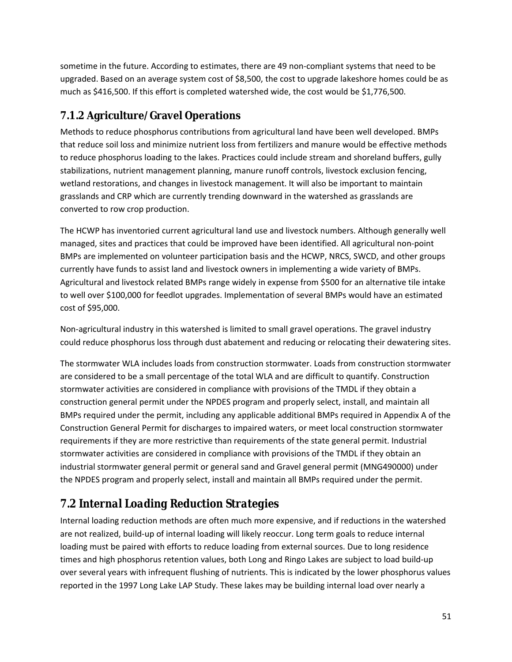<span id="page-50-0"></span>sometime in the future. According to estimates, there are 49 non-compliant systems that need to be upgraded. Based on an average system cost of \$8,500, the cost to upgrade lakeshore homes could be as much as \$416,500. If this effort is completed watershed wide, the cost would be \$1,776,500.

### **7.1.2 Agriculture/Gravel Operations**

Methods to reduce phosphorus contributions from agricultural land have been well developed. BMPs that reduce soil loss and minimize nutrient loss from fertilizers and manure would be effective methods to reduce phosphorus loading to the lakes. Practices could include stream and shoreland buffers, gully stabilizations, nutrient management planning, manure runoff controls, livestock exclusion fencing, wetland restorations, and changes in livestock management. It will also be important to maintain grasslands and CRP which are currently trending downward in the watershed as grasslands are converted to row crop production.

The HCWP has inventoried current agricultural land use and livestock numbers. Although generally well managed, sites and practices that could be improved have been identified. All agricultural non-point BMPs are implemented on volunteer participation basis and the HCWP, NRCS, SWCD, and other groups currently have funds to assist land and livestock owners in implementing a wide variety of BMPs. Agricultural and livestock related BMPs range widely in expense from \$500 for an alternative tile intake to well over \$100,000 for feedlot upgrades. Implementation of several BMPs would have an estimated cost of \$95,000.

Non-agricultural industry in this watershed is limited to small gravel operations. The gravel industry could reduce phosphorus loss through dust abatement and reducing or relocating their dewatering sites.

The stormwater WLA includes loads from construction stormwater. Loads from construction stormwater are considered to be a small percentage of the total WLA and are difficult to quantify. Construction stormwater activities are considered in compliance with provisions of the TMDL if they obtain a construction general permit under the NPDES program and properly select, install, and maintain all BMPs required under the permit, including any applicable additional BMPs required in Appendix A of the Construction General Permit for discharges to impaired waters, or meet local construction stormwater requirements if they are more restrictive than requirements of the state general permit. Industrial stormwater activities are considered in compliance with provisions of the TMDL if they obtain an industrial stormwater general permit or general sand and Gravel general permit (MNG490000) under the NPDES program and properly select, install and maintain all BMPs required under the permit.

# *7.2 Internal Loading Reduction Strategies*

Internal loading reduction methods are often much more expensive, and if reductions in the watershed are not realized, build-up of internal loading will likely reoccur. Long term goals to reduce internal loading must be paired with efforts to reduce loading from external sources. Due to long residence times and high phosphorus retention values, both Long and Ringo Lakes are subject to load build-up over several years with infrequent flushing of nutrients. This is indicated by the lower phosphorus values reported in the 1997 Long Lake LAP Study. These lakes may be building internal load over nearly a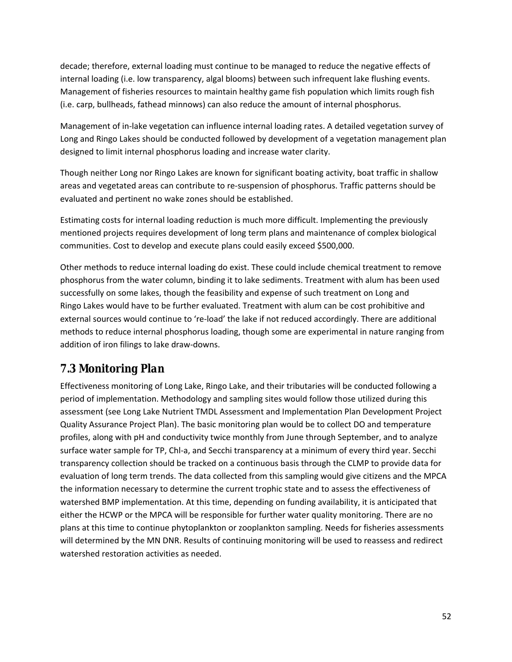<span id="page-51-0"></span>decade; therefore, external loading must continue to be managed to reduce the negative effects of internal loading (i.e. low transparency, algal blooms) between such infrequent lake flushing events. Management of fisheries resources to maintain healthy game fish population which limits rough fish (i.e. carp, bullheads, fathead minnows) can also reduce the amount of internal phosphorus.

Management of in-lake vegetation can influence internal loading rates. A detailed vegetation survey of Long and Ringo Lakes should be conducted followed by development of a vegetation management plan designed to limit internal phosphorus loading and increase water clarity.

Though neither Long nor Ringo Lakes are known for significant boating activity, boat traffic in shallow areas and vegetated areas can contribute to re-suspension of phosphorus. Traffic patterns should be evaluated and pertinent no wake zones should be established.

Estimating costs for internal loading reduction is much more difficult. Implementing the previously mentioned projects requires development of long term plans and maintenance of complex biological communities. Cost to develop and execute plans could easily exceed \$500,000.

Other methods to reduce internal loading do exist. These could include chemical treatment to remove phosphorus from the water column, binding it to lake sediments. Treatment with alum has been used successfully on some lakes, though the feasibility and expense of such treatment on Long and Ringo Lakes would have to be further evaluated. Treatment with alum can be cost prohibitive and external sources would continue to 're-load' the lake if not reduced accordingly. There are additional methods to reduce internal phosphorus loading, though some are experimental in nature ranging from addition of iron filings to lake draw-downs.

# *7.3 Monitoring Plan*

Effectiveness monitoring of Long Lake, Ringo Lake, and their tributaries will be conducted following a period of implementation. Methodology and sampling sites would follow those utilized during this assessment (see Long Lake Nutrient TMDL Assessment and Implementation Plan Development Project Quality Assurance Project Plan). The basic monitoring plan would be to collect DO and temperature profiles, along with pH and conductivity twice monthly from June through September, and to analyze surface water sample for TP, Chl-a, and Secchi transparency at a minimum of every third year. Secchi transparency collection should be tracked on a continuous basis through the CLMP to provide data for evaluation of long term trends. The data collected from this sampling would give citizens and the MPCA the information necessary to determine the current trophic state and to assess the effectiveness of watershed BMP implementation. At this time, depending on funding availability, it is anticipated that either the HCWP or the MPCA will be responsible for further water quality monitoring. There are no plans at this time to continue phytoplankton or zooplankton sampling. Needs for fisheries assessments will determined by the MN DNR. Results of continuing monitoring will be used to reassess and redirect watershed restoration activities as needed.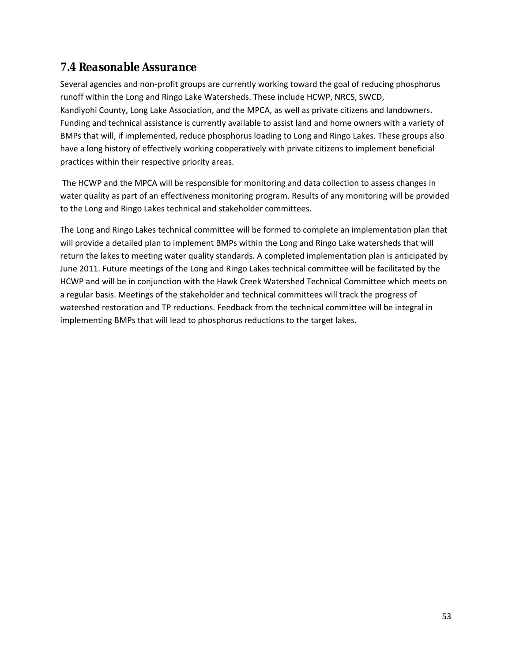### <span id="page-52-0"></span>*7.4 Reasonable Assurance*

Several agencies and non-profit groups are currently working toward the goal of reducing phosphorus runoff within the Long and Ringo Lake Watersheds. These include HCWP, NRCS, SWCD, Kandiyohi County, Long Lake Association, and the MPCA, as well as private citizens and landowners. Funding and technical assistance is currently available to assist land and home owners with a variety of BMPs that will, if implemented, reduce phosphorus loading to Long and Ringo Lakes. These groups also have a long history of effectively working cooperatively with private citizens to implement beneficial practices within their respective priority areas.

 The HCWP and the MPCA will be responsible for monitoring and data collection to assess changes in water quality as part of an effectiveness monitoring program. Results of any monitoring will be provided to the Long and Ringo Lakes technical and stakeholder committees.

The Long and Ringo Lakes technical committee will be formed to complete an implementation plan that will provide a detailed plan to implement BMPs within the Long and Ringo Lake watersheds that will return the lakes to meeting water quality standards. A completed implementation plan is anticipated by June 2011. Future meetings of the Long and Ringo Lakes technical committee will be facilitated by the HCWP and will be in conjunction with the Hawk Creek Watershed Technical Committee which meets on a regular basis. Meetings of the stakeholder and technical committees will track the progress of watershed restoration and TP reductions. Feedback from the technical committee will be integral in implementing BMPs that will lead to phosphorus reductions to the target lakes.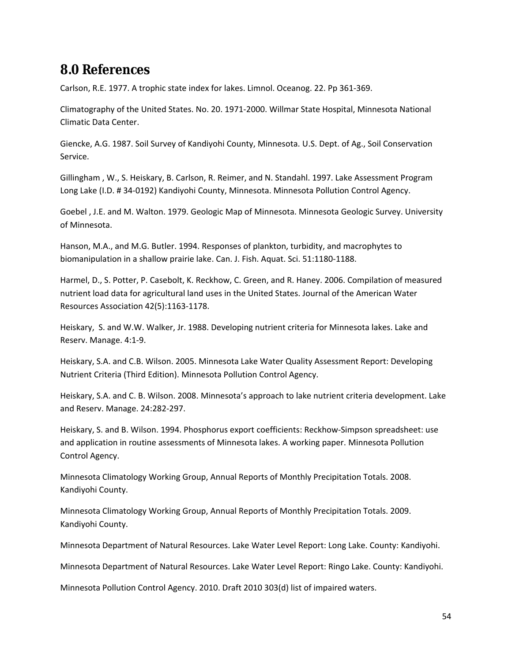# <span id="page-53-0"></span>**8.0 References**

Carlson, R.E. 1977. A trophic state index for lakes. Limnol. Oceanog. 22. Pp 361-369.

Climatography of the United States. No. 20. 1971-2000. Willmar State Hospital, Minnesota National Climatic Data Center.

Giencke, A.G. 1987. Soil Survey of Kandiyohi County, Minnesota. U.S. Dept. of Ag., Soil Conservation Service.

Gillingham , W., S. Heiskary, B. Carlson, R. Reimer, and N. Standahl. 1997. Lake Assessment Program Long Lake (I.D. # 34-0192) Kandiyohi County, Minnesota. Minnesota Pollution Control Agency.

Goebel , J.E. and M. Walton. 1979. Geologic Map of Minnesota. Minnesota Geologic Survey. University of Minnesota.

Hanson, M.A., and M.G. Butler. 1994. Responses of plankton, turbidity, and macrophytes to biomanipulation in a shallow prairie lake. Can. J. Fish. Aquat. Sci. 51:1180-1188.

Harmel, D., S. Potter, P. Casebolt, K. Reckhow, C. Green, and R. Haney. 2006. Compilation of measured nutrient load data for agricultural land uses in the United States. Journal of the American Water Resources Association 42(5):1163-1178.

Heiskary, S. and W.W. Walker, Jr. 1988. Developing nutrient criteria for Minnesota lakes. Lake and Reserv. Manage. 4:1-9.

Heiskary, S.A. and C.B. Wilson. 2005. Minnesota Lake Water Quality Assessment Report: Developing Nutrient Criteria (Third Edition). Minnesota Pollution Control Agency.

Heiskary, S.A. and C. B. Wilson. 2008. Minnesota's approach to lake nutrient criteria development. Lake and Reserv. Manage. 24:282-297.

Heiskary, S. and B. Wilson. 1994. Phosphorus export coefficients: Reckhow-Simpson spreadsheet: use and application in routine assessments of Minnesota lakes. A working paper. Minnesota Pollution Control Agency.

Minnesota Climatology Working Group, Annual Reports of Monthly Precipitation Totals. 2008. Kandiyohi County.

Minnesota Climatology Working Group, Annual Reports of Monthly Precipitation Totals. 2009. Kandiyohi County.

Minnesota Department of Natural Resources. Lake Water Level Report: Long Lake. County: Kandiyohi.

Minnesota Department of Natural Resources. Lake Water Level Report: Ringo Lake. County: Kandiyohi.

Minnesota Pollution Control Agency. 2010. Draft 2010 303(d) list of impaired waters.